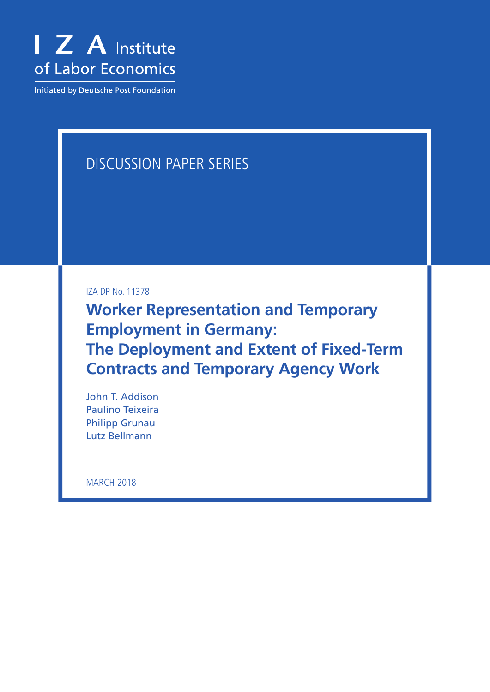

**Initiated by Deutsche Post Foundation** 

# DISCUSSION PAPER SERIES

IZA DP No. 11378

**Worker Representation and Temporary Employment in Germany: The Deployment and Extent of Fixed-Term Contracts and Temporary Agency Work**

John T. Addison Paulino Teixeira Philipp Grunau Lutz Bellmann

**MARCH 2018**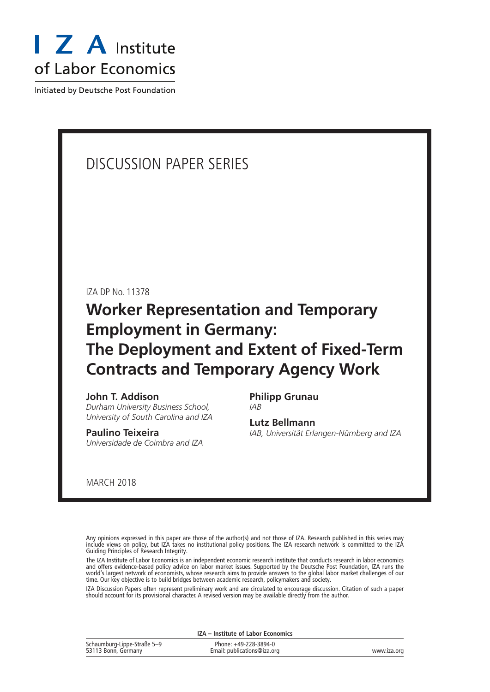

Initiated by Deutsche Post Foundation

# DISCUSSION PAPER SERIES

IZA DP No. 11378

# **Worker Representation and Temporary Employment in Germany: The Deployment and Extent of Fixed-Term Contracts and Temporary Agency Work**

### **John T. Addison**

*Durham University Business School, University of South Carolina and IZA*

#### **Paulino Teixeira** *Universidade de Coimbra and IZA*

**Philipp Grunau** *IAB*

**Lutz Bellmann** *IAB, Universität Erlangen-Nürnberg and IZA*

MARCH 2018

Any opinions expressed in this paper are those of the author(s) and not those of IZA. Research published in this series may include views on policy, but IZA takes no institutional policy positions. The IZA research network is committed to the IZA Guiding Principles of Research Integrity.

The IZA Institute of Labor Economics is an independent economic research institute that conducts research in labor economics and offers evidence-based policy advice on labor market issues. Supported by the Deutsche Post Foundation, IZA runs the world's largest network of economists, whose research aims to provide answers to the global labor market challenges of our time. Our key objective is to build bridges between academic research, policymakers and society.

IZA Discussion Papers often represent preliminary work and are circulated to encourage discussion. Citation of such a paper should account for its provisional character. A revised version may be available directly from the author.

**IZA – Institute of Labor Economics**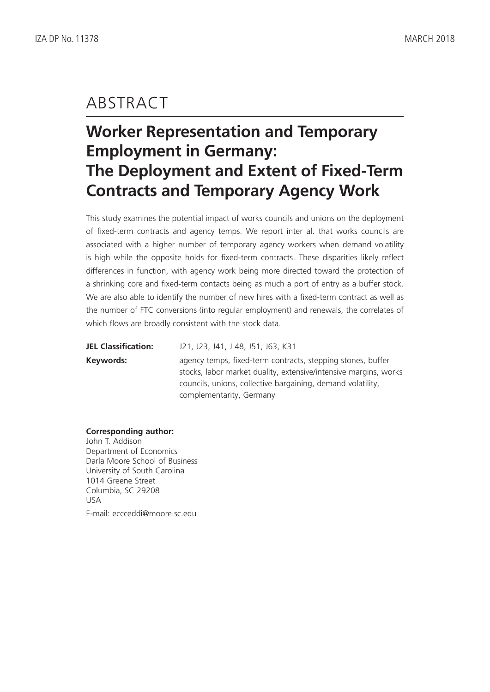# ABSTRACT

# **Worker Representation and Temporary Employment in Germany: The Deployment and Extent of Fixed-Term Contracts and Temporary Agency Work**

This study examines the potential impact of works councils and unions on the deployment of fixed-term contracts and agency temps. We report inter al. that works councils are associated with a higher number of temporary agency workers when demand volatility is high while the opposite holds for fixed-term contracts. These disparities likely reflect differences in function, with agency work being more directed toward the protection of a shrinking core and fixed-term contacts being as much a port of entry as a buffer stock. We are also able to identify the number of new hires with a fixed-term contract as well as the number of FTC conversions (into regular employment) and renewals, the correlates of which flows are broadly consistent with the stock data.

| <b>JEL Classification:</b> | J21, J23, J41, J 48, J51, J63, K31                                                                                                                                                                                         |
|----------------------------|----------------------------------------------------------------------------------------------------------------------------------------------------------------------------------------------------------------------------|
| Keywords:                  | agency temps, fixed-term contracts, stepping stones, buffer<br>stocks, labor market duality, extensive/intensive margins, works<br>councils, unions, collective bargaining, demand volatility,<br>complementarity, Germany |

#### **Corresponding author:**

John T. Addison Department of Economics Darla Moore School of Business University of South Carolina 1014 Greene Street Columbia, SC 29208 USA E-mail: eccceddi@moore.sc.edu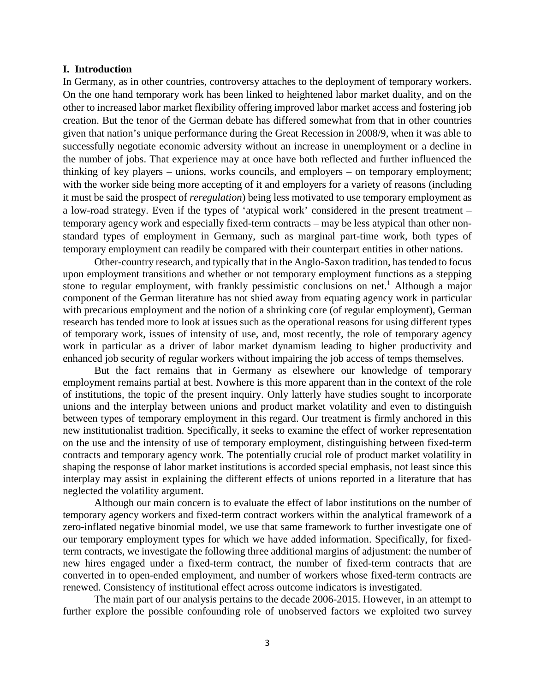#### **I. Introduction**

In Germany, as in other countries, controversy attaches to the deployment of temporary workers. On the one hand temporary work has been linked to heightened labor market duality, and on the other to increased labor market flexibility offering improved labor market access and fostering job creation. But the tenor of the German debate has differed somewhat from that in other countries given that nation's unique performance during the Great Recession in 2008/9, when it was able to successfully negotiate economic adversity without an increase in unemployment or a decline in the number of jobs. That experience may at once have both reflected and further influenced the thinking of key players – unions, works councils, and employers – on temporary employment; with the worker side being more accepting of it and employers for a variety of reasons (including it must be said the prospect of *reregulation*) being less motivated to use temporary employment as a low-road strategy. Even if the types of 'atypical work' considered in the present treatment – temporary agency work and especially fixed-term contracts – may be less atypical than other nonstandard types of employment in Germany, such as marginal part-time work, both types of temporary employment can readily be compared with their counterpart entities in other nations.

Other-country research, and typically that in the Anglo-Saxon tradition, has tended to focus upon employment transitions and whether or not temporary employment functions as a stepping stone to regular employment, with frankly pessimistic conclusions on net.<sup>1</sup> Although a major component of the German literature has not shied away from equating agency work in particular with precarious employment and the notion of a shrinking core (of regular employment), German research has tended more to look at issues such as the operational reasons for using different types of temporary work, issues of intensity of use, and, most recently, the role of temporary agency work in particular as a driver of labor market dynamism leading to higher productivity and enhanced job security of regular workers without impairing the job access of temps themselves.

But the fact remains that in Germany as elsewhere our knowledge of temporary employment remains partial at best. Nowhere is this more apparent than in the context of the role of institutions, the topic of the present inquiry. Only latterly have studies sought to incorporate unions and the interplay between unions and product market volatility and even to distinguish between types of temporary employment in this regard. Our treatment is firmly anchored in this new institutionalist tradition. Specifically, it seeks to examine the effect of worker representation on the use and the intensity of use of temporary employment, distinguishing between fixed-term contracts and temporary agency work. The potentially crucial role of product market volatility in shaping the response of labor market institutions is accorded special emphasis, not least since this interplay may assist in explaining the different effects of unions reported in a literature that has neglected the volatility argument.

Although our main concern is to evaluate the effect of labor institutions on the number of temporary agency workers and fixed-term contract workers within the analytical framework of a zero-inflated negative binomial model, we use that same framework to further investigate one of our temporary employment types for which we have added information. Specifically, for fixedterm contracts, we investigate the following three additional margins of adjustment: the number of new hires engaged under a fixed-term contract, the number of fixed-term contracts that are converted in to open-ended employment, and number of workers whose fixed-term contracts are renewed. Consistency of institutional effect across outcome indicators is investigated.

The main part of our analysis pertains to the decade 2006-2015. However, in an attempt to further explore the possible confounding role of unobserved factors we exploited two survey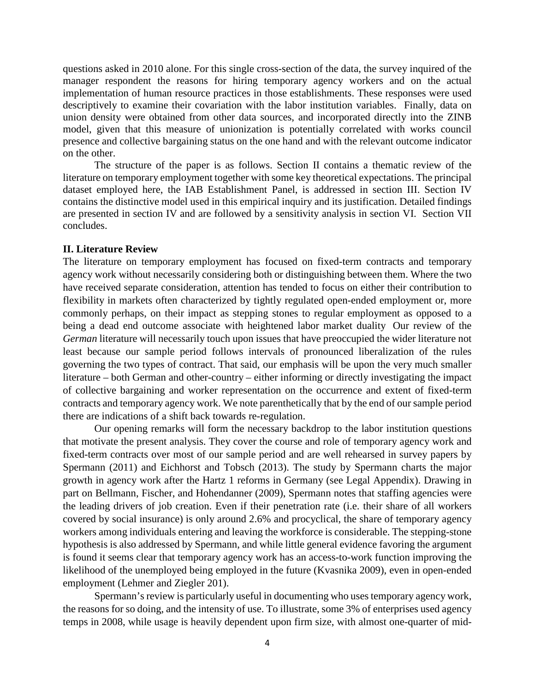questions asked in 2010 alone. For this single cross-section of the data, the survey inquired of the manager respondent the reasons for hiring temporary agency workers and on the actual implementation of human resource practices in those establishments. These responses were used descriptively to examine their covariation with the labor institution variables. Finally, data on union density were obtained from other data sources, and incorporated directly into the ZINB model, given that this measure of unionization is potentially correlated with works council presence and collective bargaining status on the one hand and with the relevant outcome indicator on the other.

The structure of the paper is as follows. Section II contains a thematic review of the literature on temporary employment together with some key theoretical expectations. The principal dataset employed here, the IAB Establishment Panel, is addressed in section III. Section IV contains the distinctive model used in this empirical inquiry and its justification. Detailed findings are presented in section IV and are followed by a sensitivity analysis in section VI. Section VII concludes.

#### **II. Literature Review**

The literature on temporary employment has focused on fixed-term contracts and temporary agency work without necessarily considering both or distinguishing between them. Where the two have received separate consideration, attention has tended to focus on either their contribution to flexibility in markets often characterized by tightly regulated open-ended employment or, more commonly perhaps, on their impact as stepping stones to regular employment as opposed to a being a dead end outcome associate with heightened labor market duality Our review of the *German* literature will necessarily touch upon issues that have preoccupied the wider literature not least because our sample period follows intervals of pronounced liberalization of the rules governing the two types of contract. That said, our emphasis will be upon the very much smaller literature – both German and other-country – either informing or directly investigating the impact of collective bargaining and worker representation on the occurrence and extent of fixed-term contracts and temporary agency work. We note parenthetically that by the end of our sample period there are indications of a shift back towards re-regulation.

Our opening remarks will form the necessary backdrop to the labor institution questions that motivate the present analysis. They cover the course and role of temporary agency work and fixed-term contracts over most of our sample period and are well rehearsed in survey papers by Spermann (2011) and Eichhorst and Tobsch (2013). The study by Spermann charts the major growth in agency work after the Hartz 1 reforms in Germany (see Legal Appendix). Drawing in part on Bellmann, Fischer, and Hohendanner (2009), Spermann notes that staffing agencies were the leading drivers of job creation. Even if their penetration rate (i.e. their share of all workers covered by social insurance) is only around 2.6% and procyclical, the share of temporary agency workers among individuals entering and leaving the workforce is considerable. The stepping-stone hypothesis is also addressed by Spermann, and while little general evidence favoring the argument is found it seems clear that temporary agency work has an access-to-work function improving the likelihood of the unemployed being employed in the future (Kvasnika 2009), even in open-ended employment (Lehmer and Ziegler 201).

Spermann's review is particularly useful in documenting who uses temporary agency work, the reasons for so doing, and the intensity of use. To illustrate, some 3% of enterprises used agency temps in 2008, while usage is heavily dependent upon firm size, with almost one-quarter of mid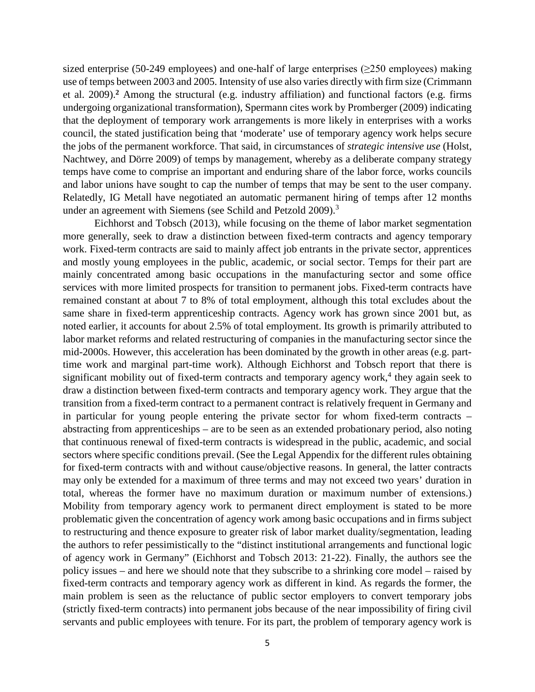sized enterprise (50-249 employees) and one-half of large enterprises (≥250 employees) making use of temps between 2003 and 2005. Intensity of use also varies directly with firm size (Crimmann et al. 2009).**<sup>2</sup>** Among the structural (e.g. industry affiliation) and functional factors (e.g. firms undergoing organizational transformation), Spermann cites work by Promberger (2009) indicating that the deployment of temporary work arrangements is more likely in enterprises with a works council, the stated justification being that 'moderate' use of temporary agency work helps secure the jobs of the permanent workforce. That said, in circumstances of *strategic intensive use* (Holst, Nachtwey, and Dörre 2009) of temps by management, whereby as a deliberate company strategy temps have come to comprise an important and enduring share of the labor force, works councils and labor unions have sought to cap the number of temps that may be sent to the user company. Relatedly, IG Metall have negotiated an automatic permanent hiring of temps after 12 months under an agreement with Siemens (see Schild and Petzold 2009).<sup>3</sup>

Eichhorst and Tobsch (2013), while focusing on the theme of labor market segmentation more generally, seek to draw a distinction between fixed-term contracts and agency temporary work. Fixed-term contracts are said to mainly affect job entrants in the private sector, apprentices and mostly young employees in the public, academic, or social sector. Temps for their part are mainly concentrated among basic occupations in the manufacturing sector and some office services with more limited prospects for transition to permanent jobs. Fixed-term contracts have remained constant at about 7 to 8% of total employment, although this total excludes about the same share in fixed-term apprenticeship contracts. Agency work has grown since 2001 but, as noted earlier, it accounts for about 2.5% of total employment. Its growth is primarily attributed to labor market reforms and related restructuring of companies in the manufacturing sector since the mid-2000s. However, this acceleration has been dominated by the growth in other areas (e.g. parttime work and marginal part-time work). Although Eichhorst and Tobsch report that there is significant mobility out of fixed-term contracts and temporary agency work,<sup>4</sup> they again seek to draw a distinction between fixed-term contracts and temporary agency work. They argue that the transition from a fixed-term contract to a permanent contract is relatively frequent in Germany and in particular for young people entering the private sector for whom fixed-term contracts – abstracting from apprenticeships – are to be seen as an extended probationary period, also noting that continuous renewal of fixed-term contracts is widespread in the public, academic, and social sectors where specific conditions prevail. (See the Legal Appendix for the different rules obtaining for fixed-term contracts with and without cause/objective reasons. In general, the latter contracts may only be extended for a maximum of three terms and may not exceed two years' duration in total, whereas the former have no maximum duration or maximum number of extensions.) Mobility from temporary agency work to permanent direct employment is stated to be more problematic given the concentration of agency work among basic occupations and in firms subject to restructuring and thence exposure to greater risk of labor market duality/segmentation, leading the authors to refer pessimistically to the "distinct institutional arrangements and functional logic of agency work in Germany" (Eichhorst and Tobsch 2013: 21-22). Finally, the authors see the policy issues – and here we should note that they subscribe to a shrinking core model – raised by fixed-term contracts and temporary agency work as different in kind. As regards the former, the main problem is seen as the reluctance of public sector employers to convert temporary jobs (strictly fixed-term contracts) into permanent jobs because of the near impossibility of firing civil servants and public employees with tenure. For its part, the problem of temporary agency work is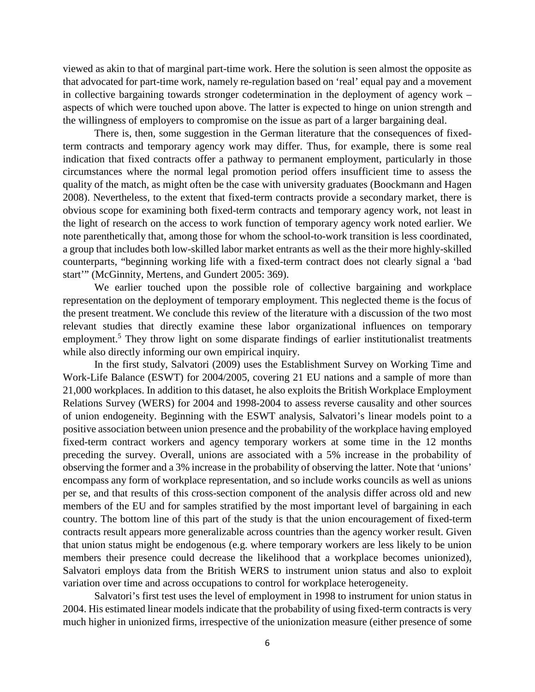viewed as akin to that of marginal part-time work. Here the solution is seen almost the opposite as that advocated for part-time work, namely re-regulation based on 'real' equal pay and a movement in collective bargaining towards stronger codetermination in the deployment of agency work – aspects of which were touched upon above. The latter is expected to hinge on union strength and the willingness of employers to compromise on the issue as part of a larger bargaining deal.

There is, then, some suggestion in the German literature that the consequences of fixedterm contracts and temporary agency work may differ. Thus, for example, there is some real indication that fixed contracts offer a pathway to permanent employment, particularly in those circumstances where the normal legal promotion period offers insufficient time to assess the quality of the match, as might often be the case with university graduates (Boockmann and Hagen 2008). Nevertheless, to the extent that fixed-term contracts provide a secondary market, there is obvious scope for examining both fixed-term contracts and temporary agency work, not least in the light of research on the access to work function of temporary agency work noted earlier. We note parenthetically that, among those for whom the school-to-work transition is less coordinated, a group that includes both low-skilled labor market entrants as well as the their more highly-skilled counterparts, "beginning working life with a fixed-term contract does not clearly signal a 'bad start'" (McGinnity, Mertens, and Gundert 2005: 369).

We earlier touched upon the possible role of collective bargaining and workplace representation on the deployment of temporary employment. This neglected theme is the focus of the present treatment. We conclude this review of the literature with a discussion of the two most relevant studies that directly examine these labor organizational influences on temporary employment.<sup>5</sup> They throw light on some disparate findings of earlier institutionalist treatments while also directly informing our own empirical inquiry.

In the first study, Salvatori (2009) uses the Establishment Survey on Working Time and Work-Life Balance (ESWT) for 2004/2005, covering 21 EU nations and a sample of more than 21,000 workplaces. In addition to this dataset, he also exploits the British Workplace Employment Relations Survey (WERS) for 2004 and 1998-2004 to assess reverse causality and other sources of union endogeneity. Beginning with the ESWT analysis, Salvatori's linear models point to a positive association between union presence and the probability of the workplace having employed fixed-term contract workers and agency temporary workers at some time in the 12 months preceding the survey. Overall, unions are associated with a 5% increase in the probability of observing the former and a 3% increase in the probability of observing the latter. Note that 'unions' encompass any form of workplace representation, and so include works councils as well as unions per se, and that results of this cross-section component of the analysis differ across old and new members of the EU and for samples stratified by the most important level of bargaining in each country. The bottom line of this part of the study is that the union encouragement of fixed-term contracts result appears more generalizable across countries than the agency worker result. Given that union status might be endogenous (e.g. where temporary workers are less likely to be union members their presence could decrease the likelihood that a workplace becomes unionized), Salvatori employs data from the British WERS to instrument union status and also to exploit variation over time and across occupations to control for workplace heterogeneity.

Salvatori's first test uses the level of employment in 1998 to instrument for union status in 2004. His estimated linear models indicate that the probability of using fixed-term contracts is very much higher in unionized firms, irrespective of the unionization measure (either presence of some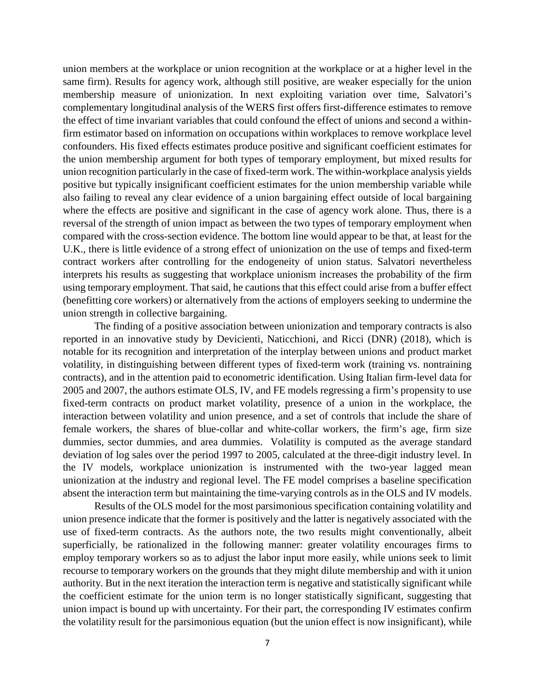union members at the workplace or union recognition at the workplace or at a higher level in the same firm). Results for agency work, although still positive, are weaker especially for the union membership measure of unionization. In next exploiting variation over time, Salvatori's complementary longitudinal analysis of the WERS first offers first-difference estimates to remove the effect of time invariant variables that could confound the effect of unions and second a withinfirm estimator based on information on occupations within workplaces to remove workplace level confounders. His fixed effects estimates produce positive and significant coefficient estimates for the union membership argument for both types of temporary employment, but mixed results for union recognition particularly in the case of fixed-term work. The within-workplace analysis yields positive but typically insignificant coefficient estimates for the union membership variable while also failing to reveal any clear evidence of a union bargaining effect outside of local bargaining where the effects are positive and significant in the case of agency work alone. Thus, there is a reversal of the strength of union impact as between the two types of temporary employment when compared with the cross-section evidence. The bottom line would appear to be that, at least for the U.K., there is little evidence of a strong effect of unionization on the use of temps and fixed-term contract workers after controlling for the endogeneity of union status. Salvatori nevertheless interprets his results as suggesting that workplace unionism increases the probability of the firm using temporary employment. That said, he cautions that this effect could arise from a buffer effect (benefitting core workers) or alternatively from the actions of employers seeking to undermine the union strength in collective bargaining.

The finding of a positive association between unionization and temporary contracts is also reported in an innovative study by Devicienti, Naticchioni, and Ricci (DNR) (2018), which is notable for its recognition and interpretation of the interplay between unions and product market volatility, in distinguishing between different types of fixed-term work (training vs. nontraining contracts), and in the attention paid to econometric identification. Using Italian firm-level data for 2005 and 2007, the authors estimate OLS, IV, and FE models regressing a firm's propensity to use fixed-term contracts on product market volatility, presence of a union in the workplace, the interaction between volatility and union presence, and a set of controls that include the share of female workers, the shares of blue-collar and white-collar workers, the firm's age, firm size dummies, sector dummies, and area dummies. Volatility is computed as the average standard deviation of log sales over the period 1997 to 2005, calculated at the three-digit industry level. In the IV models, workplace unionization is instrumented with the two-year lagged mean unionization at the industry and regional level. The FE model comprises a baseline specification absent the interaction term but maintaining the time-varying controls as in the OLS and IV models.

Results of the OLS model for the most parsimonious specification containing volatility and union presence indicate that the former is positively and the latter is negatively associated with the use of fixed-term contracts. As the authors note, the two results might conventionally, albeit superficially, be rationalized in the following manner: greater volatility encourages firms to employ temporary workers so as to adjust the labor input more easily, while unions seek to limit recourse to temporary workers on the grounds that they might dilute membership and with it union authority. But in the next iteration the interaction term is negative and statistically significant while the coefficient estimate for the union term is no longer statistically significant, suggesting that union impact is bound up with uncertainty. For their part, the corresponding IV estimates confirm the volatility result for the parsimonious equation (but the union effect is now insignificant), while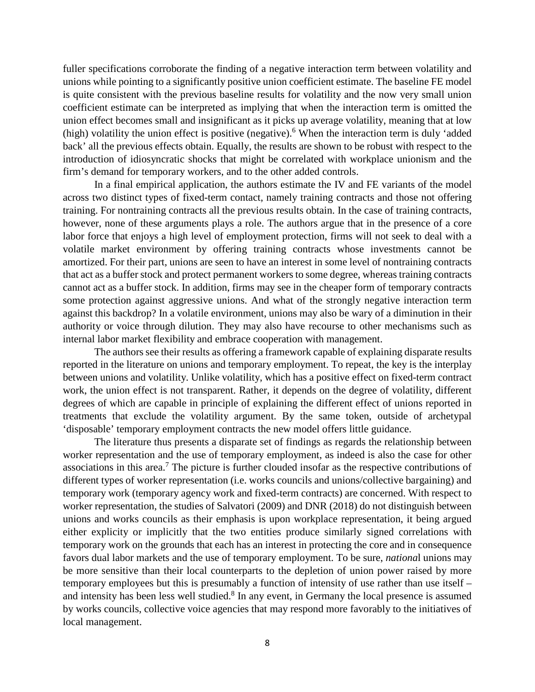fuller specifications corroborate the finding of a negative interaction term between volatility and unions while pointing to a significantly positive union coefficient estimate. The baseline FE model is quite consistent with the previous baseline results for volatility and the now very small union coefficient estimate can be interpreted as implying that when the interaction term is omitted the union effect becomes small and insignificant as it picks up average volatility, meaning that at low (high) volatility the union effect is positive (negative).6 When the interaction term is duly 'added back' all the previous effects obtain. Equally, the results are shown to be robust with respect to the introduction of idiosyncratic shocks that might be correlated with workplace unionism and the firm's demand for temporary workers, and to the other added controls.

In a final empirical application, the authors estimate the IV and FE variants of the model across two distinct types of fixed-term contact, namely training contracts and those not offering training. For nontraining contracts all the previous results obtain. In the case of training contracts, however, none of these arguments plays a role. The authors argue that in the presence of a core labor force that enjoys a high level of employment protection, firms will not seek to deal with a volatile market environment by offering training contracts whose investments cannot be amortized. For their part, unions are seen to have an interest in some level of nontraining contracts that act as a buffer stock and protect permanent workers to some degree, whereas training contracts cannot act as a buffer stock. In addition, firms may see in the cheaper form of temporary contracts some protection against aggressive unions. And what of the strongly negative interaction term against this backdrop? In a volatile environment, unions may also be wary of a diminution in their authority or voice through dilution. They may also have recourse to other mechanisms such as internal labor market flexibility and embrace cooperation with management.

The authors see their results as offering a framework capable of explaining disparate results reported in the literature on unions and temporary employment. To repeat, the key is the interplay between unions and volatility. Unlike volatility, which has a positive effect on fixed-term contract work, the union effect is not transparent. Rather, it depends on the degree of volatility, different degrees of which are capable in principle of explaining the different effect of unions reported in treatments that exclude the volatility argument. By the same token, outside of archetypal 'disposable' temporary employment contracts the new model offers little guidance.

The literature thus presents a disparate set of findings as regards the relationship between worker representation and the use of temporary employment, as indeed is also the case for other associations in this area.<sup>7</sup> The picture is further clouded insofar as the respective contributions of different types of worker representation (i.e. works councils and unions/collective bargaining) and temporary work (temporary agency work and fixed-term contracts) are concerned. With respect to worker representation, the studies of Salvatori (2009) and DNR (2018) do not distinguish between unions and works councils as their emphasis is upon workplace representation, it being argued either explicity or implicitly that the two entities produce similarly signed correlations with temporary work on the grounds that each has an interest in protecting the core and in consequence favors dual labor markets and the use of temporary employment. To be sure, *nationa*l unions may be more sensitive than their local counterparts to the depletion of union power raised by more temporary employees but this is presumably a function of intensity of use rather than use itself – and intensity has been less well studied.<sup>8</sup> In any event, in Germany the local presence is assumed by works councils, collective voice agencies that may respond more favorably to the initiatives of local management.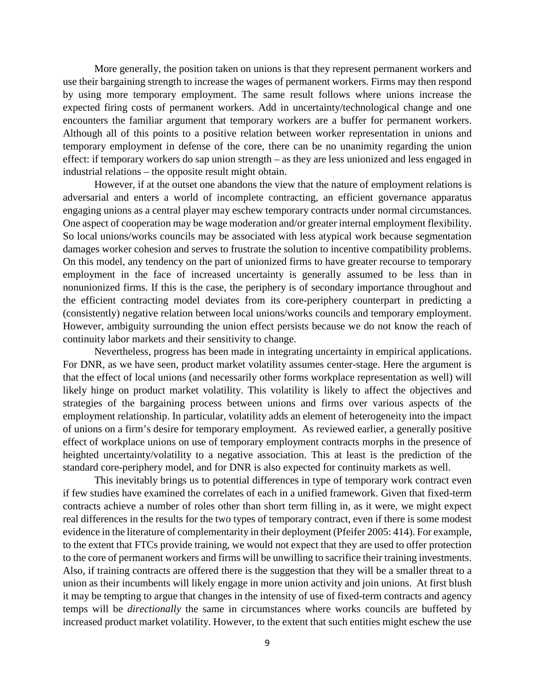More generally, the position taken on unions is that they represent permanent workers and use their bargaining strength to increase the wages of permanent workers. Firms may then respond by using more temporary employment. The same result follows where unions increase the expected firing costs of permanent workers. Add in uncertainty/technological change and one encounters the familiar argument that temporary workers are a buffer for permanent workers. Although all of this points to a positive relation between worker representation in unions and temporary employment in defense of the core, there can be no unanimity regarding the union effect: if temporary workers do sap union strength – as they are less unionized and less engaged in industrial relations – the opposite result might obtain.

However, if at the outset one abandons the view that the nature of employment relations is adversarial and enters a world of incomplete contracting, an efficient governance apparatus engaging unions as a central player may eschew temporary contracts under normal circumstances. One aspect of cooperation may be wage moderation and/or greater internal employment flexibility. So local unions/works councils may be associated with less atypical work because segmentation damages worker cohesion and serves to frustrate the solution to incentive compatibility problems. On this model, any tendency on the part of unionized firms to have greater recourse to temporary employment in the face of increased uncertainty is generally assumed to be less than in nonunionized firms. If this is the case, the periphery is of secondary importance throughout and the efficient contracting model deviates from its core-periphery counterpart in predicting a (consistently) negative relation between local unions/works councils and temporary employment. However, ambiguity surrounding the union effect persists because we do not know the reach of continuity labor markets and their sensitivity to change.

Nevertheless, progress has been made in integrating uncertainty in empirical applications. For DNR, as we have seen, product market volatility assumes center-stage. Here the argument is that the effect of local unions (and necessarily other forms workplace representation as well) will likely hinge on product market volatility. This volatility is likely to affect the objectives and strategies of the bargaining process between unions and firms over various aspects of the employment relationship. In particular, volatility adds an element of heterogeneity into the impact of unions on a firm's desire for temporary employment. As reviewed earlier, a generally positive effect of workplace unions on use of temporary employment contracts morphs in the presence of heighted uncertainty/volatility to a negative association. This at least is the prediction of the standard core-periphery model, and for DNR is also expected for continuity markets as well.

This inevitably brings us to potential differences in type of temporary work contract even if few studies have examined the correlates of each in a unified framework. Given that fixed-term contracts achieve a number of roles other than short term filling in, as it were, we might expect real differences in the results for the two types of temporary contract, even if there is some modest evidence in the literature of complementarity in their deployment (Pfeifer 2005: 414). For example, to the extent that FTCs provide training, we would not expect that they are used to offer protection to the core of permanent workers and firms will be unwilling to sacrifice their training investments. Also, if training contracts are offered there is the suggestion that they will be a smaller threat to a union as their incumbents will likely engage in more union activity and join unions. At first blush it may be tempting to argue that changes in the intensity of use of fixed-term contracts and agency temps will be *directionally* the same in circumstances where works councils are buffeted by increased product market volatility. However, to the extent that such entities might eschew the use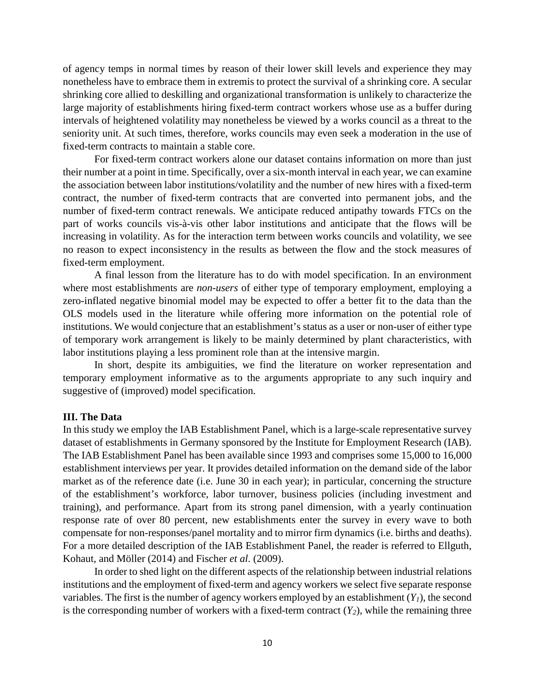of agency temps in normal times by reason of their lower skill levels and experience they may nonetheless have to embrace them in extremis to protect the survival of a shrinking core. A secular shrinking core allied to deskilling and organizational transformation is unlikely to characterize the large majority of establishments hiring fixed-term contract workers whose use as a buffer during intervals of heightened volatility may nonetheless be viewed by a works council as a threat to the seniority unit. At such times, therefore, works councils may even seek a moderation in the use of fixed-term contracts to maintain a stable core.

For fixed-term contract workers alone our dataset contains information on more than just their number at a point in time. Specifically, over a six-month interval in each year, we can examine the association between labor institutions/volatility and the number of new hires with a fixed-term contract, the number of fixed-term contracts that are converted into permanent jobs, and the number of fixed-term contract renewals. We anticipate reduced antipathy towards FTCs on the part of works councils vis-à-vis other labor institutions and anticipate that the flows will be increasing in volatility. As for the interaction term between works councils and volatility, we see no reason to expect inconsistency in the results as between the flow and the stock measures of fixed-term employment.

A final lesson from the literature has to do with model specification. In an environment where most establishments are *non-users* of either type of temporary employment, employing a zero-inflated negative binomial model may be expected to offer a better fit to the data than the OLS models used in the literature while offering more information on the potential role of institutions. We would conjecture that an establishment's status as a user or non-user of either type of temporary work arrangement is likely to be mainly determined by plant characteristics, with labor institutions playing a less prominent role than at the intensive margin.

In short, despite its ambiguities, we find the literature on worker representation and temporary employment informative as to the arguments appropriate to any such inquiry and suggestive of (improved) model specification.

#### **III. The Data**

In this study we employ the IAB Establishment Panel, which is a large-scale representative survey dataset of establishments in Germany sponsored by the Institute for Employment Research (IAB). The IAB Establishment Panel has been available since 1993 and comprises some 15,000 to 16,000 establishment interviews per year. It provides detailed information on the demand side of the labor market as of the reference date (i.e. June 30 in each year); in particular, concerning the structure of the establishment's workforce, labor turnover, business policies (including investment and training), and performance. Apart from its strong panel dimension, with a yearly continuation response rate of over 80 percent, new establishments enter the survey in every wave to both compensate for non-responses/panel mortality and to mirror firm dynamics (i.e. births and deaths). For a more detailed description of the IAB Establishment Panel, the reader is referred to Ellguth, Kohaut, and Möller (2014) and Fischer *et al*. (2009).

In order to shed light on the different aspects of the relationship between industrial relations institutions and the employment of fixed-term and agency workers we select five separate response variables. The first is the number of agency workers employed by an establishment  $(Y<sub>1</sub>)$ , the second is the corresponding number of workers with a fixed-term contract  $(Y_2)$ , while the remaining three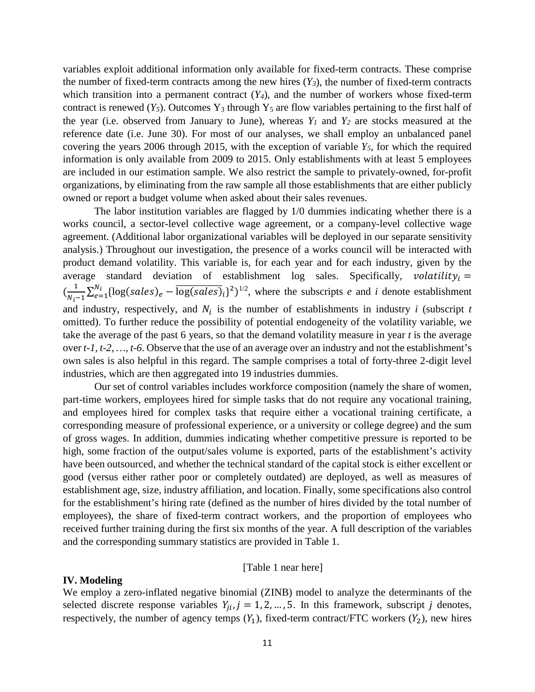variables exploit additional information only available for fixed-term contracts. These comprise the number of fixed-term contracts among the new hires  $(Y_3)$ , the number of fixed-term contracts which transition into a permanent contract  $(Y_4)$ , and the number of workers whose fixed-term contract is renewed  $(Y_5)$ . Outcomes  $Y_3$  through  $Y_5$  are flow variables pertaining to the first half of the year (i.e. observed from January to June), whereas *Y1* and *Y2* are stocks measured at the reference date (i.e. June 30). For most of our analyses, we shall employ an unbalanced panel covering the years 2006 through 2015, with the exception of variable *Y5*, for which the required information is only available from 2009 to 2015. Only establishments with at least 5 employees are included in our estimation sample. We also restrict the sample to privately-owned, for-profit organizations, by eliminating from the raw sample all those establishments that are either publicly owned or report a budget volume when asked about their sales revenues.

The labor institution variables are flagged by 1/0 dummies indicating whether there is a works council, a sector-level collective wage agreement, or a company-level collective wage agreement. (Additional labor organizational variables will be deployed in our separate sensitivity analysis.) Throughout our investigation, the presence of a works council will be interacted with product demand volatility. This variable is, for each year and for each industry, given by the average standard deviation of establishment log sales. Specifically, volatility =  $\left(\frac{1}{N_i-1}\sum_{e=1}^{N_i} \{\log(sales)_e - \overline{\log(sales)}_i\}^2\right)^{1/2}$ , where the subscripts *e* and *i* denote establishment and industry, respectively, and  $N_i$  is the number of establishments in industry *i* (subscript *t* omitted). To further reduce the possibility of potential endogeneity of the volatility variable, we take the average of the past 6 years, so that the demand volatility measure in year *t* is the average over *t-1, t-2, …, t-6*. Observe that the use of an average over an industry and not the establishment's own sales is also helpful in this regard. The sample comprises a total of forty-three 2-digit level industries, which are then aggregated into 19 industries dummies.

Our set of control variables includes workforce composition (namely the share of women, part-time workers, employees hired for simple tasks that do not require any vocational training, and employees hired for complex tasks that require either a vocational training certificate, a corresponding measure of professional experience, or a university or college degree) and the sum of gross wages. In addition, dummies indicating whether competitive pressure is reported to be high, some fraction of the output/sales volume is exported, parts of the establishment's activity have been outsourced, and whether the technical standard of the capital stock is either excellent or good (versus either rather poor or completely outdated) are deployed, as well as measures of establishment age, size, industry affiliation, and location. Finally, some specifications also control for the establishment's hiring rate (defined as the number of hires divided by the total number of employees), the share of fixed-term contract workers, and the proportion of employees who received further training during the first six months of the year. A full description of the variables and the corresponding summary statistics are provided in Table 1.

#### [Table 1 near here]

#### **IV. Modeling**

We employ a zero-inflated negative binomial (ZINB) model to analyze the determinants of the selected discrete response variables  $Y_{ii}, j = 1, 2, ..., 5$ . In this framework, subscript *j* denotes, respectively, the number of agency temps  $(Y_1)$ , fixed-term contract/FTC workers  $(Y_2)$ , new hires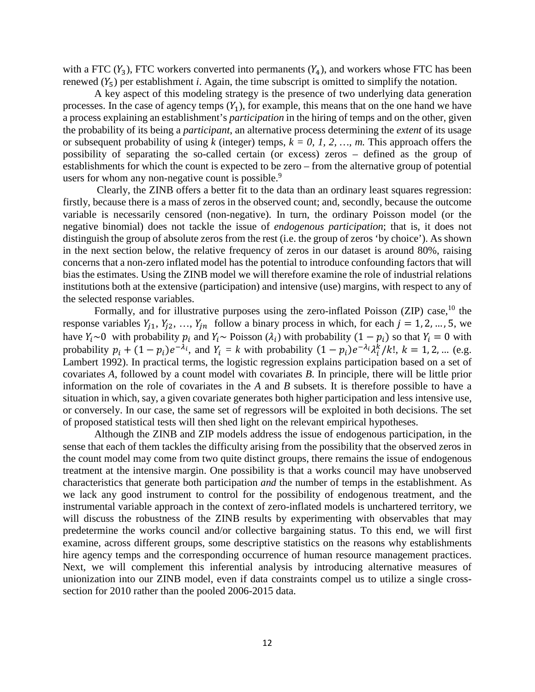with a FTC  $(Y_3)$ , FTC workers converted into permanents  $(Y_4)$ , and workers whose FTC has been renewed  $(Y_5)$  per establishment *i*. Again, the time subscript is omitted to simplify the notation.

A key aspect of this modeling strategy is the presence of two underlying data generation processes. In the case of agency temps  $(Y_1)$ , for example, this means that on the one hand we have a process explaining an establishment's *participation* in the hiring of temps and on the other, given the probability of its being a *participant*, an alternative process determining the *extent* of its usage or subsequent probability of using  $k$  (integer) temps,  $k = 0, 1, 2, \dots, m$ . This approach offers the possibility of separating the so-called certain (or excess) zeros – defined as the group of establishments for which the count is expected to be zero – from the alternative group of potential users for whom any non-negative count is possible.<sup>9</sup>

Clearly, the ZINB offers a better fit to the data than an ordinary least squares regression: firstly, because there is a mass of zeros in the observed count; and, secondly, because the outcome variable is necessarily censored (non-negative). In turn, the ordinary Poisson model (or the negative binomial) does not tackle the issue of *endogenous participation*; that is, it does not distinguish the group of absolute zeros from the rest (i.e. the group of zeros 'by choice'). As shown in the next section below, the relative frequency of zeros in our dataset is around 80%, raising concerns that a non-zero inflated model has the potential to introduce confounding factors that will bias the estimates. Using the ZINB model we will therefore examine the role of industrial relations institutions both at the extensive (participation) and intensive (use) margins, with respect to any of the selected response variables.

Formally, and for illustrative purposes using the zero-inflated Poisson (ZIP) case,<sup>10</sup> the response variables  $Y_{j1}$ ,  $Y_{j2}$ , ...,  $Y_{jn}$  follow a binary process in which, for each  $j = 1, 2, ..., 5$ , we have  $Y_i \sim 0$  with probability  $p_i$  and  $Y_i \sim \text{Poisson } (\lambda_i)$  with probability  $(1 - p_i)$  so that  $Y_i = 0$  with probability  $p_i + (1 - p_i)e^{-\lambda_i}$ , and  $Y_i = k$  with probability  $(1 - p_i)e^{-\lambda_i \lambda_i} / k!$ ,  $k = 1, 2, ...$  (e.g. Lambert 1992). In practical terms, the logistic regression explains participation based on a set of covariates *A*, followed by a count model with covariates *B*. In principle, there will be little prior information on the role of covariates in the *A* and *B* subsets. It is therefore possible to have a situation in which, say, a given covariate generates both higher participation and less intensive use, or conversely. In our case, the same set of regressors will be exploited in both decisions. The set of proposed statistical tests will then shed light on the relevant empirical hypotheses.

Although the ZINB and ZIP models address the issue of endogenous participation, in the sense that each of them tackles the difficulty arising from the possibility that the observed zeros in the count model may come from two quite distinct groups, there remains the issue of endogenous treatment at the intensive margin. One possibility is that a works council may have unobserved characteristics that generate both participation *and* the number of temps in the establishment. As we lack any good instrument to control for the possibility of endogenous treatment, and the instrumental variable approach in the context of zero-inflated models is unchartered territory, we will discuss the robustness of the ZINB results by experimenting with observables that may predetermine the works council and/or collective bargaining status. To this end, we will first examine, across different groups, some descriptive statistics on the reasons why establishments hire agency temps and the corresponding occurrence of human resource management practices. Next, we will complement this inferential analysis by introducing alternative measures of unionization into our ZINB model, even if data constraints compel us to utilize a single crosssection for 2010 rather than the pooled 2006-2015 data.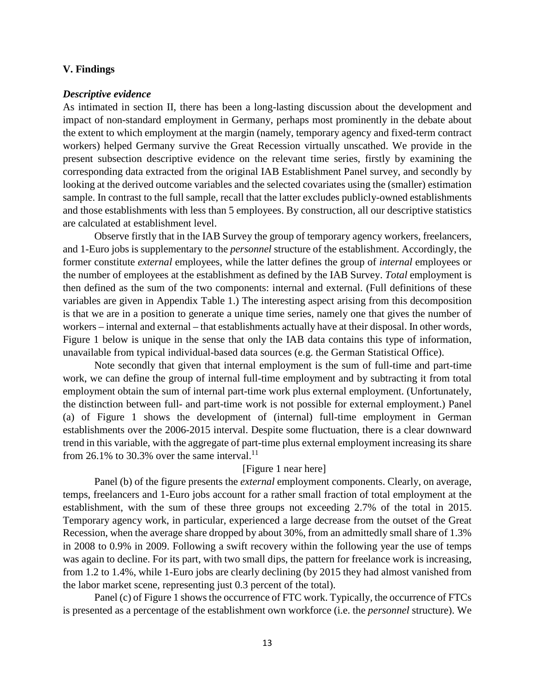#### **V. Findings**

#### *Descriptive evidence*

As intimated in section II, there has been a long-lasting discussion about the development and impact of non-standard employment in Germany, perhaps most prominently in the debate about the extent to which employment at the margin (namely, temporary agency and fixed-term contract workers) helped Germany survive the Great Recession virtually unscathed. We provide in the present subsection descriptive evidence on the relevant time series, firstly by examining the corresponding data extracted from the original IAB Establishment Panel survey, and secondly by looking at the derived outcome variables and the selected covariates using the (smaller) estimation sample. In contrast to the full sample, recall that the latter excludes publicly-owned establishments and those establishments with less than 5 employees. By construction, all our descriptive statistics are calculated at establishment level.

Observe firstly that in the IAB Survey the group of temporary agency workers, freelancers, and 1-Euro jobs is supplementary to the *personnel* structure of the establishment. Accordingly, the former constitute *external* employees, while the latter defines the group of *internal* employees or the number of employees at the establishment as defined by the IAB Survey. *Total* employment is then defined as the sum of the two components: internal and external. (Full definitions of these variables are given in Appendix Table 1.) The interesting aspect arising from this decomposition is that we are in a position to generate a unique time series, namely one that gives the number of workers – internal and external – that establishments actually have at their disposal. In other words, Figure 1 below is unique in the sense that only the IAB data contains this type of information, unavailable from typical individual-based data sources (e.g. the German Statistical Office).

Note secondly that given that internal employment is the sum of full-time and part-time work, we can define the group of internal full-time employment and by subtracting it from total employment obtain the sum of internal part-time work plus external employment. (Unfortunately, the distinction between full- and part-time work is not possible for external employment.) Panel (a) of Figure 1 shows the development of (internal) full-time employment in German establishments over the 2006-2015 interval. Despite some fluctuation, there is a clear downward trend in this variable, with the aggregate of part-time plus external employment increasing its share from 26.1% to 30.3% over the same interval.<sup>11</sup>

#### [Figure 1 near here]

Panel (b) of the figure presents the *external* employment components. Clearly, on average, temps, freelancers and 1-Euro jobs account for a rather small fraction of total employment at the establishment, with the sum of these three groups not exceeding 2.7% of the total in 2015. Temporary agency work, in particular, experienced a large decrease from the outset of the Great Recession, when the average share dropped by about 30%, from an admittedly small share of 1.3% in 2008 to 0.9% in 2009. Following a swift recovery within the following year the use of temps was again to decline. For its part, with two small dips, the pattern for freelance work is increasing, from 1.2 to 1.4%, while 1-Euro jobs are clearly declining (by 2015 they had almost vanished from the labor market scene, representing just 0.3 percent of the total).

Panel (c) of Figure 1 shows the occurrence of FTC work. Typically, the occurrence of FTCs is presented as a percentage of the establishment own workforce (i.e. the *personnel* structure). We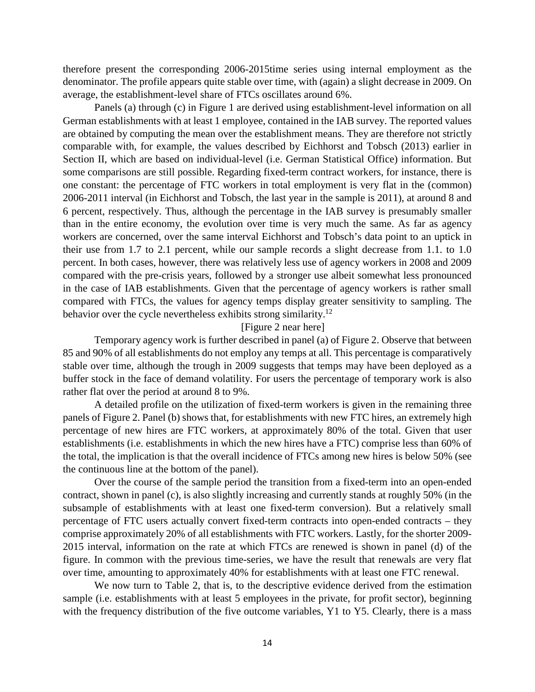therefore present the corresponding 2006-2015time series using internal employment as the denominator. The profile appears quite stable over time, with (again) a slight decrease in 2009. On average, the establishment-level share of FTCs oscillates around 6%.

Panels (a) through (c) in Figure 1 are derived using establishment-level information on all German establishments with at least 1 employee, contained in the IAB survey. The reported values are obtained by computing the mean over the establishment means. They are therefore not strictly comparable with, for example, the values described by Eichhorst and Tobsch (2013) earlier in Section II, which are based on individual-level (i.e. German Statistical Office) information. But some comparisons are still possible. Regarding fixed-term contract workers, for instance, there is one constant: the percentage of FTC workers in total employment is very flat in the (common) 2006-2011 interval (in Eichhorst and Tobsch, the last year in the sample is 2011), at around 8 and 6 percent, respectively. Thus, although the percentage in the IAB survey is presumably smaller than in the entire economy, the evolution over time is very much the same. As far as agency workers are concerned, over the same interval Eichhorst and Tobsch's data point to an uptick in their use from 1.7 to 2.1 percent, while our sample records a slight decrease from 1.1. to 1.0 percent. In both cases, however, there was relatively less use of agency workers in 2008 and 2009 compared with the pre-crisis years, followed by a stronger use albeit somewhat less pronounced in the case of IAB establishments. Given that the percentage of agency workers is rather small compared with FTCs, the values for agency temps display greater sensitivity to sampling. The behavior over the cycle nevertheless exhibits strong similarity.<sup>12</sup>

#### [Figure 2 near here]

Temporary agency work is further described in panel (a) of Figure 2. Observe that between 85 and 90% of all establishments do not employ any temps at all. This percentage is comparatively stable over time, although the trough in 2009 suggests that temps may have been deployed as a buffer stock in the face of demand volatility. For users the percentage of temporary work is also rather flat over the period at around 8 to 9%.

A detailed profile on the utilization of fixed-term workers is given in the remaining three panels of Figure 2. Panel (b) shows that, for establishments with new FTC hires, an extremely high percentage of new hires are FTC workers, at approximately 80% of the total. Given that user establishments (i.e. establishments in which the new hires have a FTC) comprise less than 60% of the total, the implication is that the overall incidence of FTCs among new hires is below 50% (see the continuous line at the bottom of the panel).

Over the course of the sample period the transition from a fixed-term into an open-ended contract, shown in panel (c), is also slightly increasing and currently stands at roughly 50% (in the subsample of establishments with at least one fixed-term conversion). But a relatively small percentage of FTC users actually convert fixed-term contracts into open-ended contracts – they comprise approximately 20% of all establishments with FTC workers. Lastly, for the shorter 2009- 2015 interval, information on the rate at which FTCs are renewed is shown in panel (d) of the figure. In common with the previous time-series, we have the result that renewals are very flat over time, amounting to approximately 40% for establishments with at least one FTC renewal.

We now turn to Table 2, that is, to the descriptive evidence derived from the estimation sample (i.e. establishments with at least 5 employees in the private, for profit sector), beginning with the frequency distribution of the five outcome variables, Y1 to Y5. Clearly, there is a mass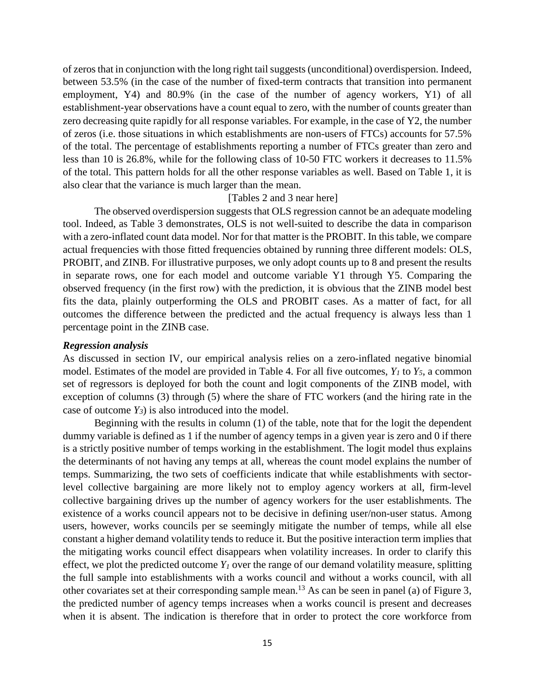of zeros that in conjunction with the long right tail suggests (unconditional) overdispersion. Indeed, between 53.5% (in the case of the number of fixed-term contracts that transition into permanent employment, Y4) and 80.9% (in the case of the number of agency workers, Y1) of all establishment-year observations have a count equal to zero, with the number of counts greater than zero decreasing quite rapidly for all response variables. For example, in the case of Y2, the number of zeros (i.e. those situations in which establishments are non-users of FTCs) accounts for 57.5% of the total. The percentage of establishments reporting a number of FTCs greater than zero and less than 10 is 26.8%, while for the following class of 10-50 FTC workers it decreases to 11.5% of the total. This pattern holds for all the other response variables as well. Based on Table 1, it is also clear that the variance is much larger than the mean.

## [Tables 2 and 3 near here]

The observed overdispersion suggests that OLS regression cannot be an adequate modeling tool. Indeed, as Table 3 demonstrates, OLS is not well-suited to describe the data in comparison with a zero-inflated count data model. Nor for that matter is the PROBIT. In this table, we compare actual frequencies with those fitted frequencies obtained by running three different models: OLS, PROBIT, and ZINB. For illustrative purposes, we only adopt counts up to 8 and present the results in separate rows, one for each model and outcome variable Y1 through Y5. Comparing the observed frequency (in the first row) with the prediction, it is obvious that the ZINB model best fits the data, plainly outperforming the OLS and PROBIT cases. As a matter of fact, for all outcomes the difference between the predicted and the actual frequency is always less than 1 percentage point in the ZINB case.

#### *Regression analysis*

As discussed in section IV, our empirical analysis relies on a zero-inflated negative binomial model. Estimates of the model are provided in Table 4. For all five outcomes,  $Y_l$  to  $Y_5$ , a common set of regressors is deployed for both the count and logit components of the ZINB model, with exception of columns (3) through (5) where the share of FTC workers (and the hiring rate in the case of outcome  $Y_3$ ) is also introduced into the model.

Beginning with the results in column (1) of the table, note that for the logit the dependent dummy variable is defined as 1 if the number of agency temps in a given year is zero and 0 if there is a strictly positive number of temps working in the establishment. The logit model thus explains the determinants of not having any temps at all, whereas the count model explains the number of temps. Summarizing, the two sets of coefficients indicate that while establishments with sectorlevel collective bargaining are more likely not to employ agency workers at all, firm-level collective bargaining drives up the number of agency workers for the user establishments. The existence of a works council appears not to be decisive in defining user/non-user status. Among users, however, works councils per se seemingly mitigate the number of temps, while all else constant a higher demand volatility tends to reduce it. But the positive interaction term implies that the mitigating works council effect disappears when volatility increases. In order to clarify this effect, we plot the predicted outcome  $Y_l$  over the range of our demand volatility measure, splitting the full sample into establishments with a works council and without a works council, with all other covariates set at their corresponding sample mean.13 As can be seen in panel (a) of Figure 3, the predicted number of agency temps increases when a works council is present and decreases when it is absent. The indication is therefore that in order to protect the core workforce from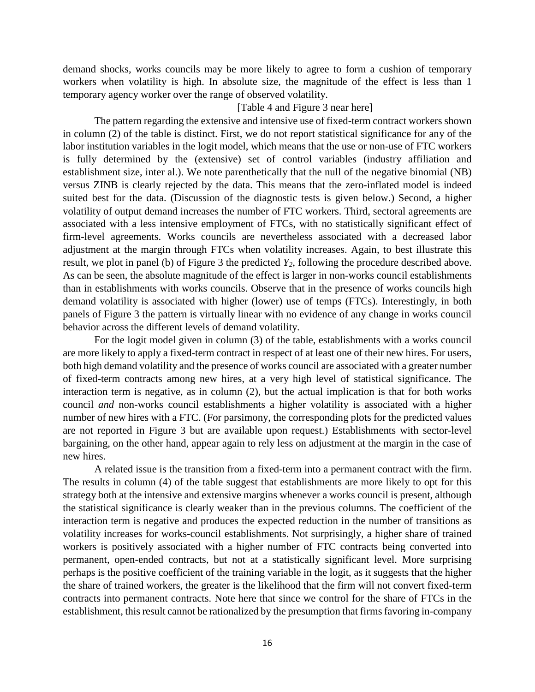demand shocks, works councils may be more likely to agree to form a cushion of temporary workers when volatility is high. In absolute size, the magnitude of the effect is less than 1 temporary agency worker over the range of observed volatility.

### [Table 4 and Figure 3 near here]

The pattern regarding the extensive and intensive use of fixed-term contract workers shown in column (2) of the table is distinct. First, we do not report statistical significance for any of the labor institution variables in the logit model, which means that the use or non-use of FTC workers is fully determined by the (extensive) set of control variables (industry affiliation and establishment size, inter al.). We note parenthetically that the null of the negative binomial (NB) versus ZINB is clearly rejected by the data. This means that the zero-inflated model is indeed suited best for the data. (Discussion of the diagnostic tests is given below.) Second, a higher volatility of output demand increases the number of FTC workers. Third, sectoral agreements are associated with a less intensive employment of FTCs, with no statistically significant effect of firm-level agreements. Works councils are nevertheless associated with a decreased labor adjustment at the margin through FTCs when volatility increases. Again, to best illustrate this result, we plot in panel (b) of Figure 3 the predicted *Y2*, following the procedure described above. As can be seen, the absolute magnitude of the effect is larger in non-works council establishments than in establishments with works councils. Observe that in the presence of works councils high demand volatility is associated with higher (lower) use of temps (FTCs). Interestingly, in both panels of Figure 3 the pattern is virtually linear with no evidence of any change in works council behavior across the different levels of demand volatility.

For the logit model given in column (3) of the table, establishments with a works council are more likely to apply a fixed-term contract in respect of at least one of their new hires. For users, both high demand volatility and the presence of works council are associated with a greater number of fixed-term contracts among new hires, at a very high level of statistical significance. The interaction term is negative, as in column (2), but the actual implication is that for both works council *and* non-works council establishments a higher volatility is associated with a higher number of new hires with a FTC. (For parsimony, the corresponding plots for the predicted values are not reported in Figure 3 but are available upon request.) Establishments with sector-level bargaining, on the other hand, appear again to rely less on adjustment at the margin in the case of new hires.

A related issue is the transition from a fixed-term into a permanent contract with the firm. The results in column (4) of the table suggest that establishments are more likely to opt for this strategy both at the intensive and extensive margins whenever a works council is present, although the statistical significance is clearly weaker than in the previous columns. The coefficient of the interaction term is negative and produces the expected reduction in the number of transitions as volatility increases for works-council establishments. Not surprisingly, a higher share of trained workers is positively associated with a higher number of FTC contracts being converted into permanent, open-ended contracts, but not at a statistically significant level. More surprising perhaps is the positive coefficient of the training variable in the logit, as it suggests that the higher the share of trained workers, the greater is the likelihood that the firm will not convert fixed-term contracts into permanent contracts. Note here that since we control for the share of FTCs in the establishment, this result cannot be rationalized by the presumption that firms favoring in-company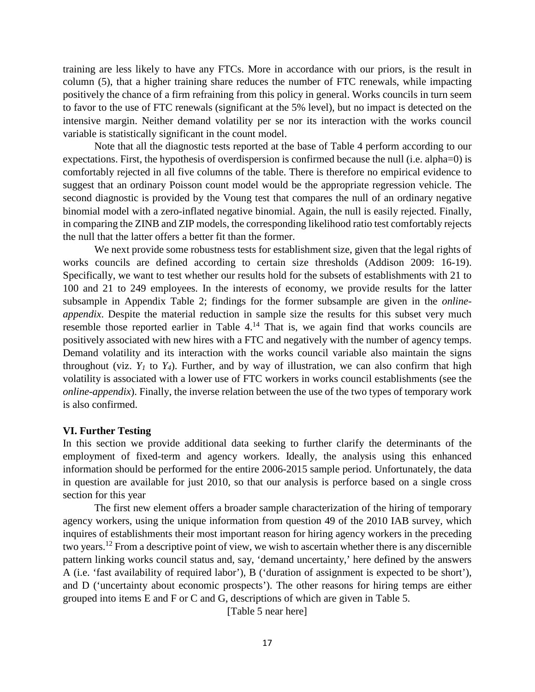training are less likely to have any FTCs. More in accordance with our priors, is the result in column (5), that a higher training share reduces the number of FTC renewals, while impacting positively the chance of a firm refraining from this policy in general. Works councils in turn seem to favor to the use of FTC renewals (significant at the 5% level), but no impact is detected on the intensive margin. Neither demand volatility per se nor its interaction with the works council variable is statistically significant in the count model.

Note that all the diagnostic tests reported at the base of Table 4 perform according to our expectations. First, the hypothesis of overdispersion is confirmed because the null (i.e. alpha=0) is comfortably rejected in all five columns of the table. There is therefore no empirical evidence to suggest that an ordinary Poisson count model would be the appropriate regression vehicle. The second diagnostic is provided by the Voung test that compares the null of an ordinary negative binomial model with a zero-inflated negative binomial. Again, the null is easily rejected. Finally, in comparing the ZINB and ZIP models, the corresponding likelihood ratio test comfortably rejects the null that the latter offers a better fit than the former.

We next provide some robustness tests for establishment size, given that the legal rights of works councils are defined according to certain size thresholds (Addison 2009: 16-19). Specifically, we want to test whether our results hold for the subsets of establishments with 21 to 100 and 21 to 249 employees. In the interests of economy, we provide results for the latter subsample in Appendix Table 2; findings for the former subsample are given in the *onlineappendix*. Despite the material reduction in sample size the results for this subset very much resemble those reported earlier in Table 4.<sup>14</sup> That is, we again find that works councils are positively associated with new hires with a FTC and negatively with the number of agency temps. Demand volatility and its interaction with the works council variable also maintain the signs throughout (viz.  $Y_1$  to  $Y_4$ ). Further, and by way of illustration, we can also confirm that high volatility is associated with a lower use of FTC workers in works council establishments (see the *online-appendix*). Finally, the inverse relation between the use of the two types of temporary work is also confirmed.

#### **VI. Further Testing**

In this section we provide additional data seeking to further clarify the determinants of the employment of fixed-term and agency workers. Ideally, the analysis using this enhanced information should be performed for the entire 2006-2015 sample period. Unfortunately, the data in question are available for just 2010, so that our analysis is perforce based on a single cross section for this year

The first new element offers a broader sample characterization of the hiring of temporary agency workers, using the unique information from question 49 of the 2010 IAB survey, which inquires of establishments their most important reason for hiring agency workers in the preceding two years. <sup>12</sup> From a descriptive point of view, we wish to ascertain whether there is any discernible pattern linking works council status and, say, 'demand uncertainty,' here defined by the answers A (i.e. 'fast availability of required labor'), B ('duration of assignment is expected to be short'), and D ('uncertainty about economic prospects'). The other reasons for hiring temps are either grouped into items E and F or C and G, descriptions of which are given in Table 5.

[Table 5 near here]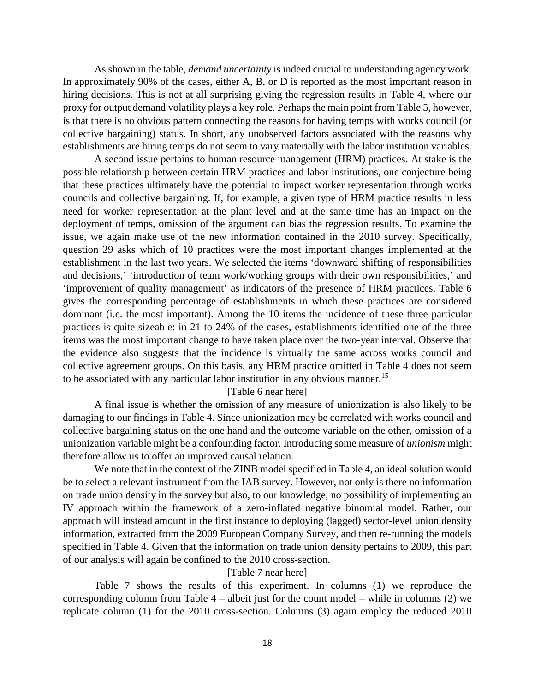As shown in the table, *demand uncertainty* is indeed crucial to understanding agency work. In approximately 90% of the cases, either A, B, or D is reported as the most important reason in hiring decisions. This is not at all surprising giving the regression results in Table 4, where our proxy for output demand volatility plays a key role. Perhaps the main point from Table 5, however, is that there is no obvious pattern connecting the reasons for having temps with works council (or collective bargaining) status. In short, any unobserved factors associated with the reasons why establishments are hiring temps do not seem to vary materially with the labor institution variables.

A second issue pertains to human resource management (HRM) practices. At stake is the possible relationship between certain HRM practices and labor institutions, one conjecture being that these practices ultimately have the potential to impact worker representation through works councils and collective bargaining. If, for example, a given type of HRM practice results in less need for worker representation at the plant level and at the same time has an impact on the deployment of temps, omission of the argument can bias the regression results. To examine the issue, we again make use of the new information contained in the 2010 survey. Specifically, question 29 asks which of 10 practices were the most important changes implemented at the establishment in the last two years. We selected the items 'downward shifting of responsibilities and decisions,' 'introduction of team work/working groups with their own responsibilities,' and 'improvement of quality management' as indicators of the presence of HRM practices. Table 6 gives the corresponding percentage of establishments in which these practices are considered dominant (i.e. the most important). Among the 10 items the incidence of these three particular practices is quite sizeable: in 21 to 24% of the cases, establishments identified one of the three items was the most important change to have taken place over the two-year interval. Observe that the evidence also suggests that the incidence is virtually the same across works council and collective agreement groups. On this basis, any HRM practice omitted in Table 4 does not seem to be associated with any particular labor institution in any obvious manner.<sup>15</sup>

#### [Table 6 near here]

A final issue is whether the omission of any measure of unionization is also likely to be damaging to our findings in Table 4. Since unionization may be correlated with works council and collective bargaining status on the one hand and the outcome variable on the other, omission of a unionization variable might be a confounding factor. Introducing some measure of *unionism* might therefore allow us to offer an improved causal relation.

We note that in the context of the ZINB model specified in Table 4, an ideal solution would be to select a relevant instrument from the IAB survey. However, not only is there no information on trade union density in the survey but also, to our knowledge, no possibility of implementing an IV approach within the framework of a zero-inflated negative binomial model. Rather, our approach will instead amount in the first instance to deploying (lagged) sector-level union density information, extracted from the 2009 European Company Survey, and then re-running the models specified in Table 4. Given that the information on trade union density pertains to 2009, this part of our analysis will again be confined to the 2010 cross-section.

### [Table 7 near here]

Table 7 shows the results of this experiment. In columns (1) we reproduce the corresponding column from Table 4 – albeit just for the count model – while in columns (2) we replicate column (1) for the 2010 cross-section. Columns (3) again employ the reduced 2010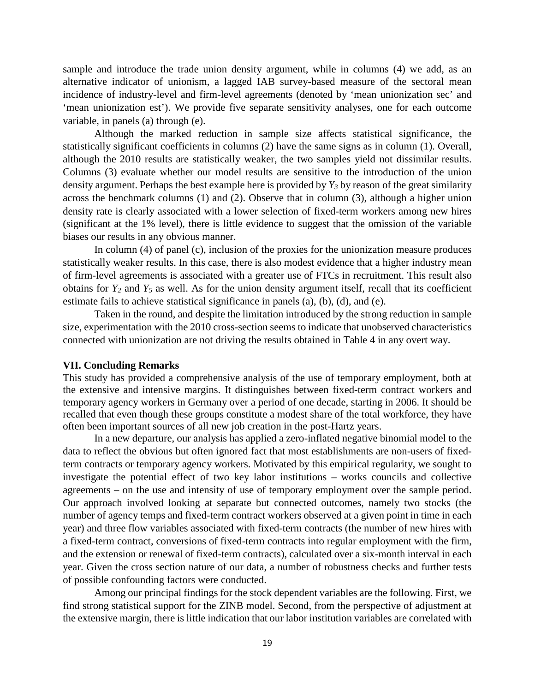sample and introduce the trade union density argument, while in columns (4) we add, as an alternative indicator of unionism, a lagged IAB survey-based measure of the sectoral mean incidence of industry-level and firm-level agreements (denoted by 'mean unionization sec' and 'mean unionization est'). We provide five separate sensitivity analyses, one for each outcome variable, in panels (a) through (e).

Although the marked reduction in sample size affects statistical significance, the statistically significant coefficients in columns (2) have the same signs as in column (1). Overall, although the 2010 results are statistically weaker, the two samples yield not dissimilar results. Columns (3) evaluate whether our model results are sensitive to the introduction of the union density argument. Perhaps the best example here is provided by *Y3* by reason of the great similarity across the benchmark columns (1) and (2). Observe that in column (3), although a higher union density rate is clearly associated with a lower selection of fixed-term workers among new hires (significant at the 1% level), there is little evidence to suggest that the omission of the variable biases our results in any obvious manner.

In column (4) of panel (c), inclusion of the proxies for the unionization measure produces statistically weaker results. In this case, there is also modest evidence that a higher industry mean of firm-level agreements is associated with a greater use of FTCs in recruitment. This result also obtains for *Y2* and *Y5* as well. As for the union density argument itself, recall that its coefficient estimate fails to achieve statistical significance in panels (a), (b), (d), and (e).

Taken in the round, and despite the limitation introduced by the strong reduction in sample size, experimentation with the 2010 cross-section seems to indicate that unobserved characteristics connected with unionization are not driving the results obtained in Table 4 in any overt way.

#### **VII. Concluding Remarks**

This study has provided a comprehensive analysis of the use of temporary employment, both at the extensive and intensive margins. It distinguishes between fixed-term contract workers and temporary agency workers in Germany over a period of one decade, starting in 2006. It should be recalled that even though these groups constitute a modest share of the total workforce, they have often been important sources of all new job creation in the post-Hartz years.

In a new departure, our analysis has applied a zero-inflated negative binomial model to the data to reflect the obvious but often ignored fact that most establishments are non-users of fixedterm contracts or temporary agency workers. Motivated by this empirical regularity, we sought to investigate the potential effect of two key labor institutions – works councils and collective agreements – on the use and intensity of use of temporary employment over the sample period. Our approach involved looking at separate but connected outcomes, namely two stocks (the number of agency temps and fixed-term contract workers observed at a given point in time in each year) and three flow variables associated with fixed-term contracts (the number of new hires with a fixed-term contract, conversions of fixed-term contracts into regular employment with the firm, and the extension or renewal of fixed-term contracts), calculated over a six-month interval in each year. Given the cross section nature of our data, a number of robustness checks and further tests of possible confounding factors were conducted.

Among our principal findings for the stock dependent variables are the following. First, we find strong statistical support for the ZINB model. Second, from the perspective of adjustment at the extensive margin, there is little indication that our labor institution variables are correlated with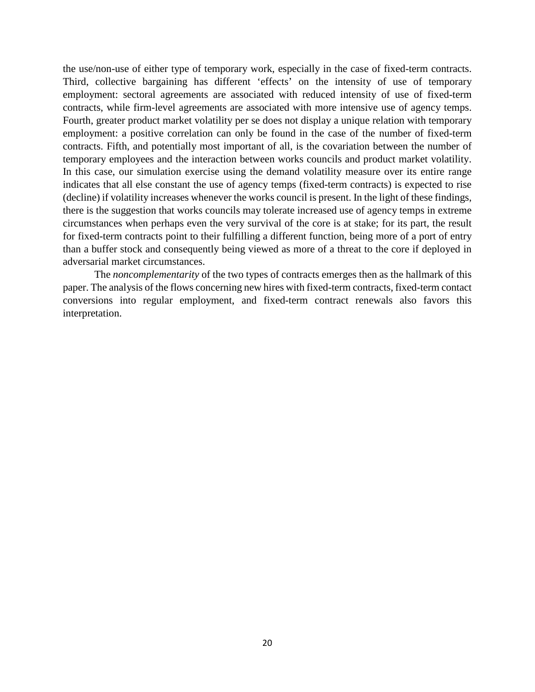the use/non-use of either type of temporary work, especially in the case of fixed-term contracts. Third, collective bargaining has different 'effects' on the intensity of use of temporary employment: sectoral agreements are associated with reduced intensity of use of fixed-term contracts, while firm-level agreements are associated with more intensive use of agency temps. Fourth, greater product market volatility per se does not display a unique relation with temporary employment: a positive correlation can only be found in the case of the number of fixed-term contracts. Fifth, and potentially most important of all, is the covariation between the number of temporary employees and the interaction between works councils and product market volatility. In this case, our simulation exercise using the demand volatility measure over its entire range indicates that all else constant the use of agency temps (fixed-term contracts) is expected to rise (decline) if volatility increases whenever the works council is present. In the light of these findings, there is the suggestion that works councils may tolerate increased use of agency temps in extreme circumstances when perhaps even the very survival of the core is at stake; for its part, the result for fixed-term contracts point to their fulfilling a different function, being more of a port of entry than a buffer stock and consequently being viewed as more of a threat to the core if deployed in adversarial market circumstances.

The *noncomplementarity* of the two types of contracts emerges then as the hallmark of this paper. The analysis of the flows concerning new hires with fixed-term contracts, fixed-term contact conversions into regular employment, and fixed-term contract renewals also favors this interpretation.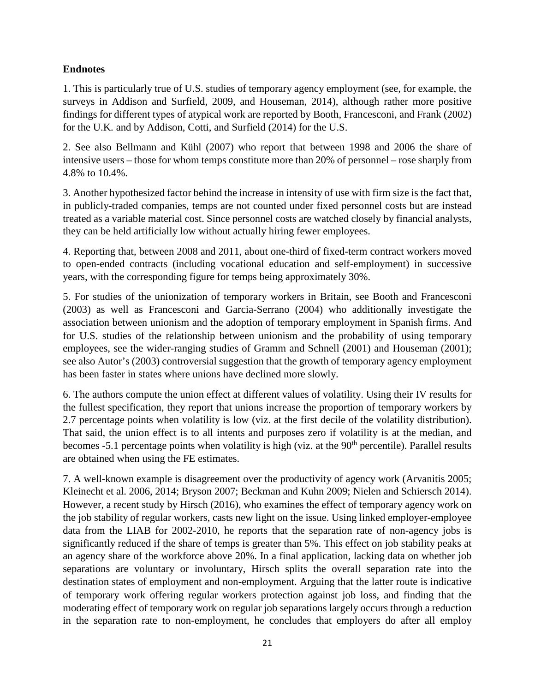# **Endnotes**

1. This is particularly true of U.S. studies of temporary agency employment (see, for example, the surveys in Addison and Surfield, 2009, and Houseman, 2014), although rather more positive findings for different types of atypical work are reported by Booth, Francesconi, and Frank (2002) for the U.K. and by Addison, Cotti, and Surfield (2014) for the U.S.

2. See also Bellmann and Kühl (2007) who report that between 1998 and 2006 the share of intensive users – those for whom temps constitute more than 20% of personnel – rose sharply from 4.8% to 10.4%.

3. Another hypothesized factor behind the increase in intensity of use with firm size is the fact that, in publicly-traded companies, temps are not counted under fixed personnel costs but are instead treated as a variable material cost. Since personnel costs are watched closely by financial analysts, they can be held artificially low without actually hiring fewer employees.

4. Reporting that, between 2008 and 2011, about one-third of fixed-term contract workers moved to open-ended contracts (including vocational education and self-employment) in successive years, with the corresponding figure for temps being approximately 30%.

5. For studies of the unionization of temporary workers in Britain, see Booth and Francesconi (2003) as well as Francesconi and Garcia-Serrano (2004) who additionally investigate the association between unionism and the adoption of temporary employment in Spanish firms. And for U.S. studies of the relationship between unionism and the probability of using temporary employees, see the wider-ranging studies of Gramm and Schnell (2001) and Houseman (2001); see also Autor's (2003) controversial suggestion that the growth of temporary agency employment has been faster in states where unions have declined more slowly.

6. The authors compute the union effect at different values of volatility. Using their IV results for the fullest specification, they report that unions increase the proportion of temporary workers by 2.7 percentage points when volatility is low (viz. at the first decile of the volatility distribution). That said, the union effect is to all intents and purposes zero if volatility is at the median, and becomes -5.1 percentage points when volatility is high (viz. at the 90<sup>th</sup> percentile). Parallel results are obtained when using the FE estimates.

7. A well-known example is disagreement over the productivity of agency work (Arvanitis 2005; Kleinecht et al. 2006, 2014; Bryson 2007; Beckman and Kuhn 2009; Nielen and Schiersch 2014). However, a recent study by Hirsch (2016), who examines the effect of temporary agency work on the job stability of regular workers, casts new light on the issue. Using linked employer-employee data from the LIAB for 2002-2010, he reports that the separation rate of non-agency jobs is significantly reduced if the share of temps is greater than 5%. This effect on job stability peaks at an agency share of the workforce above 20%. In a final application, lacking data on whether job separations are voluntary or involuntary, Hirsch splits the overall separation rate into the destination states of employment and non-employment. Arguing that the latter route is indicative of temporary work offering regular workers protection against job loss, and finding that the moderating effect of temporary work on regular job separations largely occurs through a reduction in the separation rate to non-employment, he concludes that employers do after all employ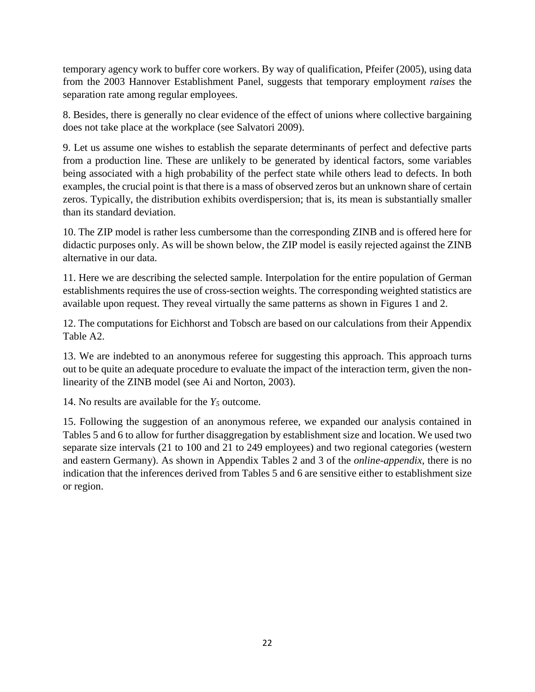temporary agency work to buffer core workers. By way of qualification, Pfeifer (2005), using data from the 2003 Hannover Establishment Panel, suggests that temporary employment *raises* the separation rate among regular employees.

8. Besides, there is generally no clear evidence of the effect of unions where collective bargaining does not take place at the workplace (see Salvatori 2009).

9. Let us assume one wishes to establish the separate determinants of perfect and defective parts from a production line. These are unlikely to be generated by identical factors, some variables being associated with a high probability of the perfect state while others lead to defects. In both examples, the crucial point is that there is a mass of observed zeros but an unknown share of certain zeros. Typically, the distribution exhibits overdispersion; that is, its mean is substantially smaller than its standard deviation.

10. The ZIP model is rather less cumbersome than the corresponding ZINB and is offered here for didactic purposes only. As will be shown below, the ZIP model is easily rejected against the ZINB alternative in our data.

11. Here we are describing the selected sample. Interpolation for the entire population of German establishments requires the use of cross-section weights. The corresponding weighted statistics are available upon request. They reveal virtually the same patterns as shown in Figures 1 and 2.

12. The computations for Eichhorst and Tobsch are based on our calculations from their Appendix Table A2.

13. We are indebted to an anonymous referee for suggesting this approach. This approach turns out to be quite an adequate procedure to evaluate the impact of the interaction term, given the nonlinearity of the ZINB model (see Ai and Norton, 2003).

14. No results are available for the  $Y_5$  outcome.

15. Following the suggestion of an anonymous referee, we expanded our analysis contained in Tables 5 and 6 to allow for further disaggregation by establishment size and location. We used two separate size intervals (21 to 100 and 21 to 249 employees) and two regional categories (western and eastern Germany). As shown in Appendix Tables 2 and 3 of the *online-appendix*, there is no indication that the inferences derived from Tables 5 and 6 are sensitive either to establishment size or region.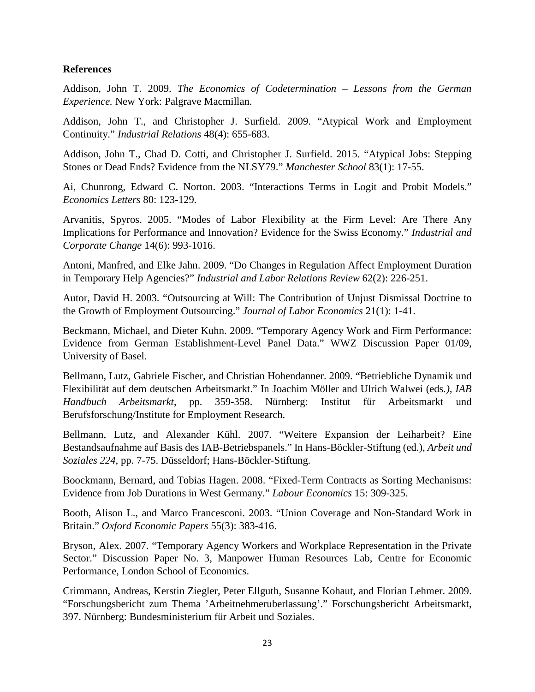### **References**

Addison, John T. 2009. *The Economics of Codetermination – Lessons from the German Experience.* New York: Palgrave Macmillan.

Addison, John T., and Christopher J. Surfield. 2009. "Atypical Work and Employment Continuity." *Industrial Relations* 48(4): 655-683.

Addison, John T., Chad D. Cotti, and Christopher J. Surfield. 2015. "Atypical Jobs: Stepping Stones or Dead Ends? Evidence from the NLSY79." *Manchester School* 83(1): 17-55.

Ai, Chunrong, Edward C. Norton. 2003. "Interactions Terms in Logit and Probit Models." *Economics Letters* 80: 123-129.

Arvanitis, Spyros. 2005. "Modes of Labor Flexibility at the Firm Level: Are There Any Implications for Performance and Innovation? Evidence for the Swiss Economy." *Industrial and Corporate Change* 14(6): 993-1016.

Antoni, Manfred, and Elke Jahn. 2009. "Do Changes in Regulation Affect Employment Duration in Temporary Help Agencies?" *Industrial and Labor Relations Review* 62(2): 226-251.

Autor, David H. 2003. "Outsourcing at Will: The Contribution of Unjust Dismissal Doctrine to the Growth of Employment Outsourcing." *Journal of Labor Economics* 21(1): 1-41.

Beckmann, Michael, and Dieter Kuhn. 2009. "Temporary Agency Work and Firm Performance: Evidence from German Establishment-Level Panel Data." WWZ Discussion Paper 01/09, University of Basel.

Bellmann, Lutz, Gabriele Fischer, and Christian Hohendanner. 2009. "Betriebliche Dynamik und Flexibilität auf dem deutschen Arbeitsmarkt." In Joachim Möller and Ulrich Walwei (eds*.), IAB Handbuch Arbeitsmarkt*, pp. 359-358. Nürnberg: Institut für Arbeitsmarkt und Berufsforschung/Institute for Employment Research.

Bellmann, Lutz, and Alexander Kühl. 2007. "Weitere Expansion der Leiharbeit? Eine Bestandsaufnahme auf Basis des IAB-Betriebspanels." In Hans-Böckler-Stiftung (ed.), *Arbeit und Soziales 224*, pp. 7-75. Düsseldorf; Hans-Böckler-Stiftung.

Boockmann, Bernard, and Tobias Hagen. 2008. "Fixed-Term Contracts as Sorting Mechanisms: Evidence from Job Durations in West Germany." *Labour Economics* 15: 309-325.

Booth, Alison L., and Marco Francesconi. 2003. "Union Coverage and Non-Standard Work in Britain." *Oxford Economic Papers* 55(3): 383-416.

Bryson, Alex. 2007. "Temporary Agency Workers and Workplace Representation in the Private Sector." Discussion Paper No. 3, Manpower Human Resources Lab, Centre for Economic Performance, London School of Economics.

Crimmann, Andreas, Kerstin Ziegler, Peter Ellguth, Susanne Kohaut, and Florian Lehmer. 2009. "Forschungsbericht zum Thema 'Arbeitnehmeruberlassung'." Forschungsbericht Arbeitsmarkt, 397. Nürnberg: Bundesministerium für Arbeit und Soziales.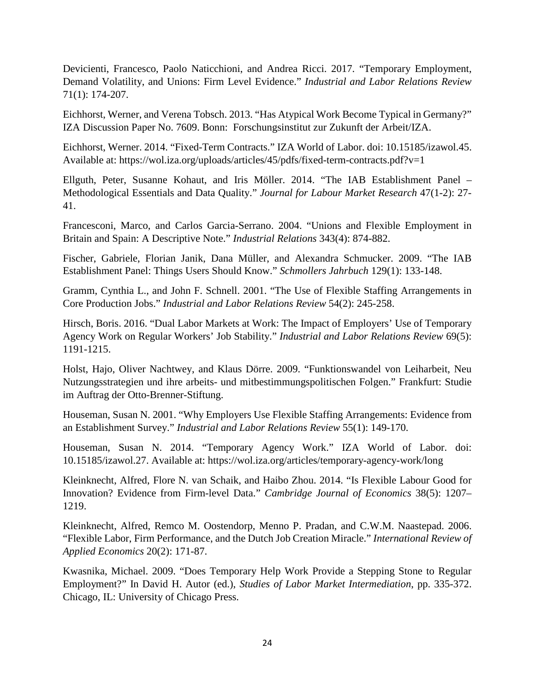Devicienti, Francesco, Paolo Naticchioni, and Andrea Ricci. 2017. "Temporary Employment, Demand Volatility, and Unions: Firm Level Evidence." *Industrial and Labor Relations Review* 71(1): 174-207.

Eichhorst, Werner, and Verena Tobsch. 2013. "Has Atypical Work Become Typical in Germany?" IZA Discussion Paper No. 7609. Bonn: Forschungsinstitut zur Zukunft der Arbeit/IZA.

Eichhorst, Werner. 2014. "Fixed-Term Contracts." IZA World of Labor. doi: 10.15185/izawol.45. Available at: https://wol.iza.org/uploads/articles/45/pdfs/fixed-term-contracts.pdf?v=1

Ellguth, Peter, Susanne Kohaut, and Iris Möller. 2014. "The IAB Establishment Panel – Methodological Essentials and Data Quality." *Journal for Labour Market Research* 47(1-2): 27- 41.

Francesconi, Marco, and Carlos Garcia-Serrano. 2004. "Unions and Flexible Employment in Britain and Spain: A Descriptive Note." *Industrial Relations* 343(4): 874-882.

Fischer, Gabriele, Florian Janik, Dana Müller, and Alexandra Schmucker. 2009. "The IAB Establishment Panel: Things Users Should Know." *Schmollers Jahrbuch* 129(1): 133-148.

Gramm, Cynthia L., and John F. Schnell. 2001. "The Use of Flexible Staffing Arrangements in Core Production Jobs." *Industrial and Labor Relations Review* 54(2): 245-258.

Hirsch, Boris. 2016. "Dual Labor Markets at Work: The Impact of Employers' Use of Temporary Agency Work on Regular Workers' Job Stability." *Industrial and Labor Relations Review* 69(5): 1191-1215.

Holst, Hajo, Oliver Nachtwey, and Klaus Dörre. 2009. "Funktionswandel von Leiharbeit, Neu Nutzungsstrategien und ihre arbeits- und mitbestimmungspolitischen Folgen." Frankfurt: Studie im Auftrag der Otto-Brenner-Stiftung.

Houseman, Susan N. 2001. "Why Employers Use Flexible Staffing Arrangements: Evidence from an Establishment Survey." *Industrial and Labor Relations Review* 55(1): 149-170.

Houseman, Susan N. 2014. "Temporary Agency Work." IZA World of Labor. doi: 10.15185/izawol.27. Available at: https://wol.iza.org/articles/temporary-agency-work/long

Kleinknecht, Alfred, Flore N. van Schaik, and Haibo Zhou. 2014. "Is Flexible Labour Good for Innovation? Evidence from Firm-level Data." *Cambridge Journal of Economics* 38(5): 1207– 1219.

Kleinknecht, Alfred, Remco M. Oostendorp, Menno P. Pradan, and C.W.M. Naastepad. 2006. "Flexible Labor, Firm Performance, and the Dutch Job Creation Miracle." *International Review of Applied Economics* 20(2): 171-87.

Kwasnika, Michael. 2009. "Does Temporary Help Work Provide a Stepping Stone to Regular Employment?" In David H. Autor (ed.), *Studies of Labor Market Intermediation*, pp. 335-372. Chicago, IL: University of Chicago Press.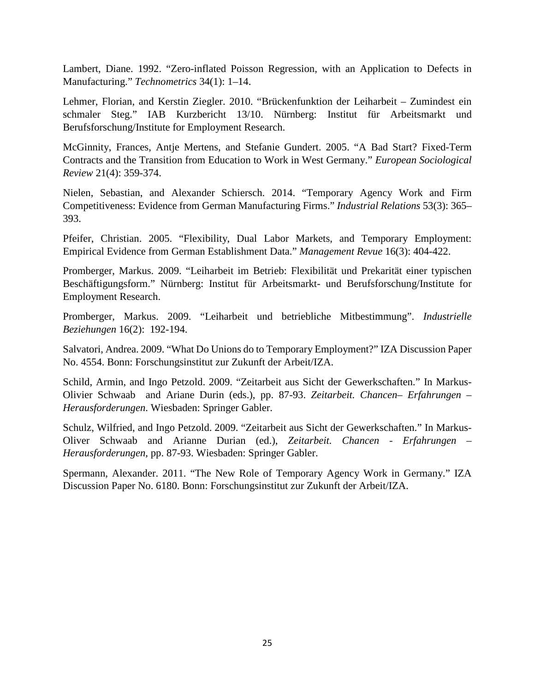Lambert, Diane. 1992. "Zero-inflated Poisson Regression, with an Application to Defects in Manufacturing." *Technometrics* 34(1): 1–14.

Lehmer, Florian, and Kerstin Ziegler. 2010. "Brückenfunktion der Leiharbeit – Zumindest ein schmaler Steg." IAB Kurzbericht 13/10. Nürnberg: Institut für Arbeitsmarkt und Berufsforschung/Institute for Employment Research.

McGinnity, Frances, Antje Mertens, and Stefanie Gundert. 2005. "A Bad Start? Fixed-Term Contracts and the Transition from Education to Work in West Germany." *European Sociological Review* 21(4): 359-374.

Nielen, Sebastian, and Alexander Schiersch. 2014. "Temporary Agency Work and Firm Competitiveness: Evidence from German Manufacturing Firms." *Industrial Relations* 53(3): 365– 393.

Pfeifer, Christian. 2005. "Flexibility, Dual Labor Markets, and Temporary Employment: Empirical Evidence from German Establishment Data." *Management Revue* 16(3): 404-422.

Promberger, Markus. 2009. "Leiharbeit im Betrieb: Flexibilität und Prekarität einer typischen Beschäftigungsform." Nürnberg: Institut für Arbeitsmarkt- und Berufsforschung/Institute for Employment Research.

Promberger, Markus. 2009. "Leiharbeit und betriebliche Mitbestimmung". *Industrielle Beziehungen* 16(2): 192-194.

Salvatori, Andrea. 2009. "What Do Unions do to Temporary Employment?" IZA Discussion Paper No. 4554. Bonn: Forschungsinstitut zur Zukunft der Arbeit/IZA.

Schild, Armin, and Ingo Petzold. 2009. "Zeitarbeit aus Sicht der Gewerkschaften." In Markus-Olivier Schwaab and Ariane Durin (eds.), pp. 87-93. *Zeitarbeit. Chancen– Erfahrungen – Herausforderungen*. Wiesbaden: Springer Gabler.

Schulz, Wilfried, and Ingo Petzold. 2009. "Zeitarbeit aus Sicht der Gewerkschaften." In Markus-Oliver Schwaab and Arianne Durian (ed.), *Zeitarbeit. Chancen - Erfahrungen – Herausforderungen*, pp. 87-93. Wiesbaden: Springer Gabler.

Spermann, Alexander. 2011. "The New Role of Temporary Agency Work in Germany." IZA Discussion Paper No. 6180. Bonn: Forschungsinstitut zur Zukunft der Arbeit/IZA.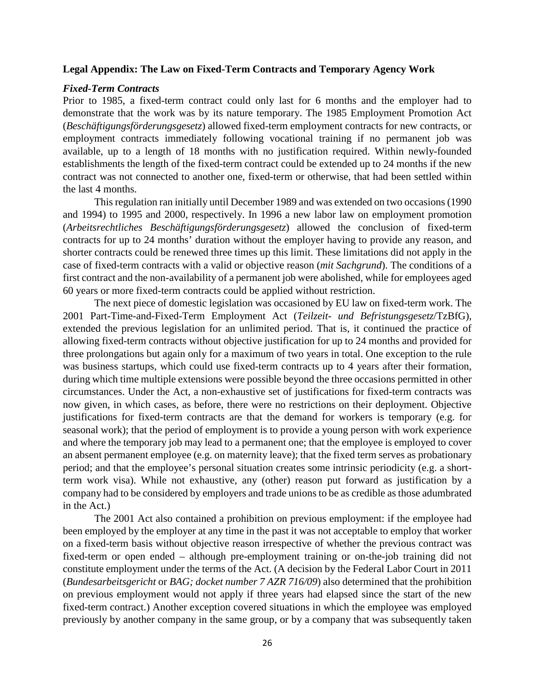#### **Legal Appendix: The Law on Fixed-Term Contracts and Temporary Agency Work**

#### *Fixed-Term Contracts*

Prior to 1985, a fixed-term contract could only last for 6 months and the employer had to demonstrate that the work was by its nature temporary. The 1985 Employment Promotion Act (*Beschäftigungsförderungsgesetz*) allowed fixed-term employment contracts for new contracts, or employment contracts immediately following vocational training if no permanent job was available, up to a length of 18 months with no justification required. Within newly-founded establishments the length of the fixed-term contract could be extended up to 24 months if the new contract was not connected to another one, fixed-term or otherwise, that had been settled within the last 4 months.

This regulation ran initially until December 1989 and was extended on two occasions (1990 and 1994) to 1995 and 2000, respectively. In 1996 a new labor law on employment promotion (*Arbeitsrechtliches Beschäftigungsförderungsgesetz*) allowed the conclusion of fixed-term contracts for up to 24 months' duration without the employer having to provide any reason, and shorter contracts could be renewed three times up this limit. These limitations did not apply in the case of fixed-term contracts with a valid or objective reason (*mit Sachgrund*). The conditions of a first contract and the non-availability of a permanent job were abolished, while for employees aged 60 years or more fixed-term contracts could be applied without restriction.

The next piece of domestic legislation was occasioned by EU law on fixed-term work. The 2001 Part-Time-and-Fixed-Term Employment Act (*Teilzeit- und Befristungsgesetz*/TzBfG), extended the previous legislation for an unlimited period. That is, it continued the practice of allowing fixed-term contracts without objective justification for up to 24 months and provided for three prolongations but again only for a maximum of two years in total. One exception to the rule was business startups, which could use fixed-term contracts up to 4 years after their formation, during which time multiple extensions were possible beyond the three occasions permitted in other circumstances. Under the Act, a non-exhaustive set of justifications for fixed-term contracts was now given, in which cases, as before, there were no restrictions on their deployment. Objective justifications for fixed-term contracts are that the demand for workers is temporary (e.g. for seasonal work); that the period of employment is to provide a young person with work experience and where the temporary job may lead to a permanent one; that the employee is employed to cover an absent permanent employee (e.g. on maternity leave); that the fixed term serves as probationary period; and that the employee's personal situation creates some intrinsic periodicity (e.g. a shortterm work visa). While not exhaustive, any (other) reason put forward as justification by a company had to be considered by employers and trade unions to be as credible as those adumbrated in the Act.)

The 2001 Act also contained a prohibition on previous employment: if the employee had been employed by the employer at any time in the past it was not acceptable to employ that worker on a fixed-term basis without objective reason irrespective of whether the previous contract was fixed-term or open ended – although pre-employment training or on-the-job training did not constitute employment under the terms of the Act. (A decision by the Federal Labor Court in 2011 (*Bundesarbeitsgericht* or *BAG; docket number 7 AZR 716/09*) also determined that the prohibition on previous employment would not apply if three years had elapsed since the start of the new fixed-term contract.) Another exception covered situations in which the employee was employed previously by another company in the same group, or by a company that was subsequently taken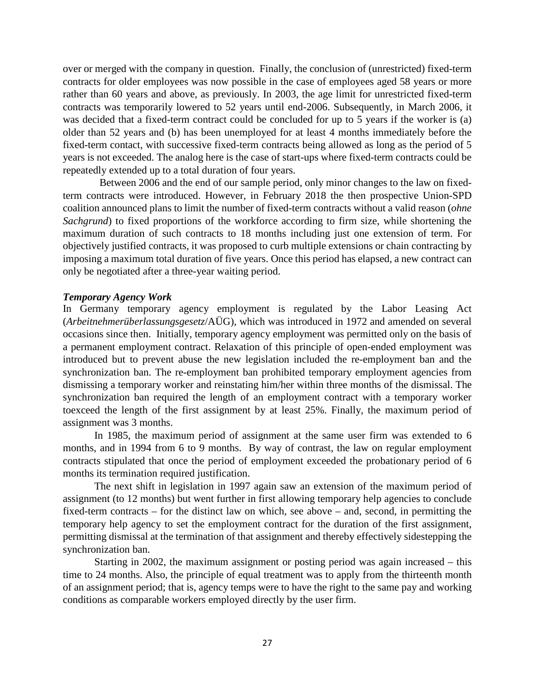over or merged with the company in question. Finally, the conclusion of (unrestricted) fixed-term contracts for older employees was now possible in the case of employees aged 58 years or more rather than 60 years and above, as previously. In 2003, the age limit for unrestricted fixed-term contracts was temporarily lowered to 52 years until end-2006. Subsequently, in March 2006, it was decided that a fixed-term contract could be concluded for up to 5 years if the worker is (a) older than 52 years and (b) has been unemployed for at least 4 months immediately before the fixed-term contact, with successive fixed-term contracts being allowed as long as the period of 5 years is not exceeded. The analog here is the case of start-ups where fixed-term contracts could be repeatedly extended up to a total duration of four years.

 Between 2006 and the end of our sample period, only minor changes to the law on fixedterm contracts were introduced. However, in February 2018 the then prospective Union-SPD coalition announced plans to limit the number of fixed-term contracts without a valid reason (*ohne Sachgrund*) to fixed proportions of the workforce according to firm size, while shortening the maximum duration of such contracts to 18 months including just one extension of term. For objectively justified contracts, it was proposed to curb multiple extensions or chain contracting by imposing a maximum total duration of five years. Once this period has elapsed, a new contract can only be negotiated after a three-year waiting period.

### *Temporary Agency Work*

In Germany temporary agency employment is regulated by the Labor Leasing Act (*Arbeitnehmerüberlassungsgesetz*/AÜG), which was introduced in 1972 and amended on several occasions since then. Initially, temporary agency employment was permitted only on the basis of a permanent employment contract. Relaxation of this principle of open-ended employment was introduced but to prevent abuse the new legislation included the re-employment ban and the synchronization ban. The re-employment ban prohibited temporary employment agencies from dismissing a temporary worker and reinstating him/her within three months of the dismissal. The synchronization ban required the length of an employment contract with a temporary worker toexceed the length of the first assignment by at least 25%. Finally, the maximum period of assignment was 3 months.

In 1985, the maximum period of assignment at the same user firm was extended to 6 months, and in 1994 from 6 to 9 months. By way of contrast, the law on regular employment contracts stipulated that once the period of employment exceeded the probationary period of 6 months its termination required justification.

The next shift in legislation in 1997 again saw an extension of the maximum period of assignment (to 12 months) but went further in first allowing temporary help agencies to conclude fixed-term contracts – for the distinct law on which, see above – and, second, in permitting the temporary help agency to set the employment contract for the duration of the first assignment, permitting dismissal at the termination of that assignment and thereby effectively sidestepping the synchronization ban.

Starting in 2002, the maximum assignment or posting period was again increased – this time to 24 months. Also, the principle of equal treatment was to apply from the thirteenth month of an assignment period; that is, agency temps were to have the right to the same pay and working conditions as comparable workers employed directly by the user firm.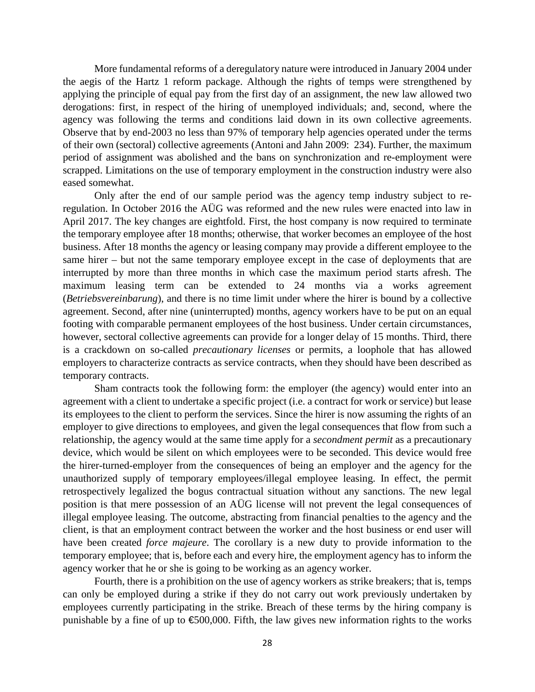More fundamental reforms of a deregulatory nature were introduced in January 2004 under the aegis of the Hartz 1 reform package. Although the rights of temps were strengthened by applying the principle of equal pay from the first day of an assignment, the new law allowed two derogations: first, in respect of the hiring of unemployed individuals; and, second, where the agency was following the terms and conditions laid down in its own collective agreements. Observe that by end-2003 no less than 97% of temporary help agencies operated under the terms of their own (sectoral) collective agreements (Antoni and Jahn 2009: 234). Further, the maximum period of assignment was abolished and the bans on synchronization and re-employment were scrapped. Limitations on the use of temporary employment in the construction industry were also eased somewhat.

Only after the end of our sample period was the agency temp industry subject to reregulation. In October 2016 the AÜG was reformed and the new rules were enacted into law in April 2017. The key changes are eightfold. First, the host company is now required to terminate the temporary employee after 18 months; otherwise, that worker becomes an employee of the host business. After 18 months the agency or leasing company may provide a different employee to the same hirer – but not the same temporary employee except in the case of deployments that are interrupted by more than three months in which case the maximum period starts afresh. The maximum leasing term can be extended to 24 months via a works agreement (*Betriebsvereinbarung*), and there is no time limit under where the hirer is bound by a collective agreement. Second, after nine (uninterrupted) months, agency workers have to be put on an equal footing with comparable permanent employees of the host business. Under certain circumstances, however, sectoral collective agreements can provide for a longer delay of 15 months. Third, there is a crackdown on so-called *precautionary licenses* or permits, a loophole that has allowed employers to characterize contracts as service contracts, when they should have been described as temporary contracts.

Sham contracts took the following form: the employer (the agency) would enter into an agreement with a client to undertake a specific project (i.e. a contract for work or service) but lease its employees to the client to perform the services. Since the hirer is now assuming the rights of an employer to give directions to employees, and given the legal consequences that flow from such a relationship, the agency would at the same time apply for a *secondment permit* as a precautionary device, which would be silent on which employees were to be seconded. This device would free the hirer-turned-employer from the consequences of being an employer and the agency for the unauthorized supply of temporary employees/illegal employee leasing. In effect, the permit retrospectively legalized the bogus contractual situation without any sanctions. The new legal position is that mere possession of an AÜG license will not prevent the legal consequences of illegal employee leasing. The outcome, abstracting from financial penalties to the agency and the client, is that an employment contract between the worker and the host business or end user will have been created *force majeure*. The corollary is a new duty to provide information to the temporary employee; that is, before each and every hire, the employment agency has to inform the agency worker that he or she is going to be working as an agency worker.

Fourth, there is a prohibition on the use of agency workers as strike breakers; that is, temps can only be employed during a strike if they do not carry out work previously undertaken by employees currently participating in the strike. Breach of these terms by the hiring company is punishable by a fine of up to  $\epsilon$ 500,000. Fifth, the law gives new information rights to the works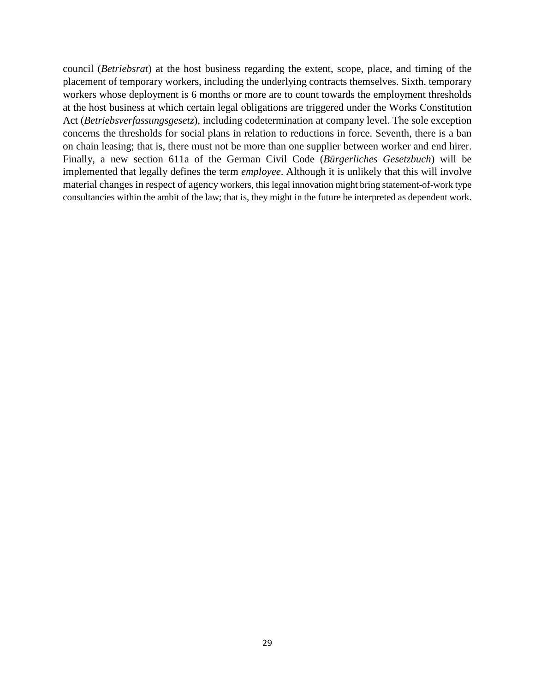council (*Betriebsrat*) at the host business regarding the extent, scope, place, and timing of the placement of temporary workers, including the underlying contracts themselves. Sixth, temporary workers whose deployment is 6 months or more are to count towards the employment thresholds at the host business at which certain legal obligations are triggered under the Works Constitution Act (*Betriebsverfassungsgesetz*), including codetermination at company level. The sole exception concerns the thresholds for social plans in relation to reductions in force. Seventh, there is a ban on chain leasing; that is, there must not be more than one supplier between worker and end hirer. Finally, a new section 611a of the German Civil Code (*Bürgerliches Gesetzbuch*) will be implemented that legally defines the term *employee*. Although it is unlikely that this will involve material changes in respect of agency workers, this legal innovation might bring statement-of-work type consultancies within the ambit of the law; that is, they might in the future be interpreted as dependent work.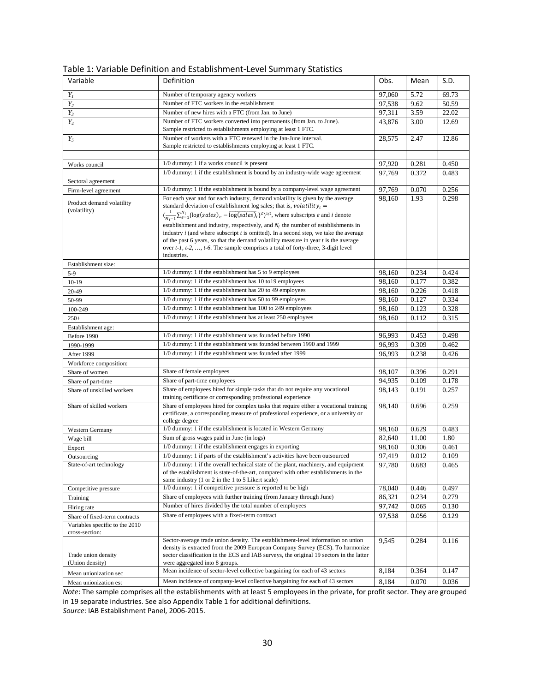| Variable                                         | Definition                                                                                                                                                                                                                                                                                                                                                                                                                                                                                                                                                                                                                                                                                                 | Obs.   | Mean  | S.D.  |
|--------------------------------------------------|------------------------------------------------------------------------------------------------------------------------------------------------------------------------------------------------------------------------------------------------------------------------------------------------------------------------------------------------------------------------------------------------------------------------------------------------------------------------------------------------------------------------------------------------------------------------------------------------------------------------------------------------------------------------------------------------------------|--------|-------|-------|
| $Y_I$                                            | Number of temporary agency workers                                                                                                                                                                                                                                                                                                                                                                                                                                                                                                                                                                                                                                                                         | 97,060 | 5.72  | 69.73 |
| $Y_2$                                            | Number of FTC workers in the establishment                                                                                                                                                                                                                                                                                                                                                                                                                                                                                                                                                                                                                                                                 | 97,538 | 9.62  | 50.59 |
| $Y_3$                                            | Number of new hires with a FTC (from Jan. to June)                                                                                                                                                                                                                                                                                                                                                                                                                                                                                                                                                                                                                                                         | 97,311 | 3.59  | 22.02 |
| $Y_4$                                            | Number of FTC workers converted into permanents (from Jan. to June).<br>Sample restricted to establishments employing at least 1 FTC.                                                                                                                                                                                                                                                                                                                                                                                                                                                                                                                                                                      | 43,876 | 3.00  | 12.69 |
| $Y_5$                                            | Number of workers with a FTC renewed in the Jan-June interval.<br>Sample restricted to establishments employing at least 1 FTC.                                                                                                                                                                                                                                                                                                                                                                                                                                                                                                                                                                            | 28,575 | 2.47  | 12.86 |
|                                                  |                                                                                                                                                                                                                                                                                                                                                                                                                                                                                                                                                                                                                                                                                                            |        |       |       |
| Works council                                    | 1/0 dummy: 1 if a works council is present                                                                                                                                                                                                                                                                                                                                                                                                                                                                                                                                                                                                                                                                 | 97,920 | 0.281 | 0.450 |
| Sectoral agreement                               | 1/0 dummy: 1 if the establishment is bound by an industry-wide wage agreement                                                                                                                                                                                                                                                                                                                                                                                                                                                                                                                                                                                                                              | 97,769 | 0.372 | 0.483 |
| Firm-level agreement                             | 1/0 dummy: 1 if the establishment is bound by a company-level wage agreement                                                                                                                                                                                                                                                                                                                                                                                                                                                                                                                                                                                                                               | 97,769 | 0.070 | 0.256 |
| Product demand volatility<br>(volatility)        | For each year and for each industry, demand volatility is given by the average<br>standard deviation of establishment log sales; that is, volatility $_i$ =<br>$\left(\frac{1}{N_i-1}\sum_{e=1}^{N_i} \{log(sales)\}e - \overline{log(sales)}\}i\}^2\right)^{1/2}$ , where subscripts <i>e</i> and <i>i</i> denote<br>establishment and industry, respectively, and $N_i$ the number of establishments in<br>industry $i$ (and where subscript $t$ is omitted). In a second step, we take the average<br>of the past 6 years, so that the demand volatility measure in year $t$ is the average<br>over $t$ -1, $t$ -2, , $t$ -6. The sample comprises a total of forty-three, 3-digit level<br>industries. | 98,160 | 1.93  | 0.298 |
| Establishment size:                              |                                                                                                                                                                                                                                                                                                                                                                                                                                                                                                                                                                                                                                                                                                            |        |       |       |
| $5-9$                                            | 1/0 dummy: 1 if the establishment has 5 to 9 employees                                                                                                                                                                                                                                                                                                                                                                                                                                                                                                                                                                                                                                                     | 98,160 | 0.234 | 0.424 |
| $10-19$                                          | 1/0 dummy: 1 if the establishment has 10 to19 employees                                                                                                                                                                                                                                                                                                                                                                                                                                                                                                                                                                                                                                                    | 98,160 | 0.177 | 0.382 |
| 20-49                                            | 1/0 dummy: 1 if the establishment has 20 to 49 employees                                                                                                                                                                                                                                                                                                                                                                                                                                                                                                                                                                                                                                                   | 98,160 | 0.226 | 0.418 |
| 50-99                                            | 1/0 dummy: 1 if the establishment has 50 to 99 employees                                                                                                                                                                                                                                                                                                                                                                                                                                                                                                                                                                                                                                                   | 98,160 | 0.127 | 0.334 |
| 100-249                                          | 1/0 dummy: 1 if the establishment has 100 to 249 employees                                                                                                                                                                                                                                                                                                                                                                                                                                                                                                                                                                                                                                                 | 98,160 | 0.123 | 0.328 |
| $250+$                                           | 1/0 dummy: 1 if the establishment has at least 250 employees                                                                                                                                                                                                                                                                                                                                                                                                                                                                                                                                                                                                                                               | 98,160 | 0.112 | 0.315 |
| Establishment age:                               |                                                                                                                                                                                                                                                                                                                                                                                                                                                                                                                                                                                                                                                                                                            |        |       |       |
| Before 1990                                      | 1/0 dummy: 1 if the establishment was founded before 1990                                                                                                                                                                                                                                                                                                                                                                                                                                                                                                                                                                                                                                                  | 96,993 | 0.453 | 0.498 |
| 1990-1999                                        | 1/0 dummy: 1 if the establishment was founded between 1990 and 1999                                                                                                                                                                                                                                                                                                                                                                                                                                                                                                                                                                                                                                        | 96,993 | 0.309 | 0.462 |
| After 1999                                       | 1/0 dummy: 1 if the establishment was founded after 1999                                                                                                                                                                                                                                                                                                                                                                                                                                                                                                                                                                                                                                                   | 96,993 | 0.238 | 0.426 |
| Workforce composition:                           |                                                                                                                                                                                                                                                                                                                                                                                                                                                                                                                                                                                                                                                                                                            |        |       |       |
| Share of women                                   | Share of female employees                                                                                                                                                                                                                                                                                                                                                                                                                                                                                                                                                                                                                                                                                  | 98,107 | 0.396 | 0.291 |
| Share of part-time                               | Share of part-time employees                                                                                                                                                                                                                                                                                                                                                                                                                                                                                                                                                                                                                                                                               | 94,935 | 0.109 | 0.178 |
| Share of unskilled workers                       | Share of employees hired for simple tasks that do not require any vocational<br>training certificate or corresponding professional experience                                                                                                                                                                                                                                                                                                                                                                                                                                                                                                                                                              | 98,143 | 0.191 | 0.257 |
| Share of skilled workers                         | Share of employees hired for complex tasks that require either a vocational training<br>certificate, a corresponding measure of professional experience, or a university or<br>college degree                                                                                                                                                                                                                                                                                                                                                                                                                                                                                                              | 98,140 | 0.696 | 0.259 |
| Western Germany                                  | 1/0 dummy: 1 if the establishment is located in Western Germany                                                                                                                                                                                                                                                                                                                                                                                                                                                                                                                                                                                                                                            | 98,160 | 0.629 | 0.483 |
| Wage bill                                        | Sum of gross wages paid in June (in logs)                                                                                                                                                                                                                                                                                                                                                                                                                                                                                                                                                                                                                                                                  | 82,640 | 11.00 | 1.80  |
| Export                                           | 1/0 dummy: 1 if the establishment engages in exporting                                                                                                                                                                                                                                                                                                                                                                                                                                                                                                                                                                                                                                                     | 98,160 | 0.306 | 0.461 |
| Outsourcing                                      | 1/0 dummy: 1 if parts of the establishment's activities have been outsourced                                                                                                                                                                                                                                                                                                                                                                                                                                                                                                                                                                                                                               | 97,419 | 0.012 | 0.109 |
| State-of-art technology                          | 1/0 dummy: 1 if the overall technical state of the plant, machinery, and equipment<br>of the establishment is state-of-the-art, compared with other establishments in the<br>same industry (1 or 2 in the 1 to 5 Likert scale)                                                                                                                                                                                                                                                                                                                                                                                                                                                                             | 97,780 | 0.683 | 0.465 |
| Competitive pressure                             | 1/0 dummy: 1 if competitive pressure is reported to be high                                                                                                                                                                                                                                                                                                                                                                                                                                                                                                                                                                                                                                                | 78,040 | 0.446 | 0.497 |
| Training                                         | Share of employees with further training (from January through June)                                                                                                                                                                                                                                                                                                                                                                                                                                                                                                                                                                                                                                       | 86,321 | 0.234 | 0.279 |
| Hiring rate                                      | Number of hires divided by the total number of employees                                                                                                                                                                                                                                                                                                                                                                                                                                                                                                                                                                                                                                                   | 97,742 | 0.065 | 0.130 |
| Share of fixed-term contracts                    | Share of employees with a fixed-term contract                                                                                                                                                                                                                                                                                                                                                                                                                                                                                                                                                                                                                                                              | 97,538 | 0.056 | 0.129 |
| Variables specific to the 2010<br>cross-section: |                                                                                                                                                                                                                                                                                                                                                                                                                                                                                                                                                                                                                                                                                                            |        |       |       |
| Trade union density<br>(Union density)           | Sector-average trade union density. The establishment-level information on union<br>density is extracted from the 2009 European Company Survey (ECS). To harmonize<br>sector classification in the ECS and IAB surveys, the original 19 sectors in the latter<br>were aggregated into 8 groups.                                                                                                                                                                                                                                                                                                                                                                                                            | 9,545  | 0.284 | 0.116 |
| Mean unionization sec                            | Mean incidence of sector-level collective bargaining for each of 43 sectors                                                                                                                                                                                                                                                                                                                                                                                                                                                                                                                                                                                                                                | 8,184  | 0.364 | 0.147 |
| Mean unionization est                            | Mean incidence of company-level collective bargaining for each of 43 sectors                                                                                                                                                                                                                                                                                                                                                                                                                                                                                                                                                                                                                               | 8,184  | 0.070 | 0.036 |

Table 1: Variable Definition and Establishment-Level Summary Statistics

*Note*: The sample comprises all the establishments with at least 5 employees in the private, for profit sector. They are grouped in 19 separate industries. See also Appendix Table 1 for additional definitions. *Source*: IAB Establishment Panel, 2006-2015.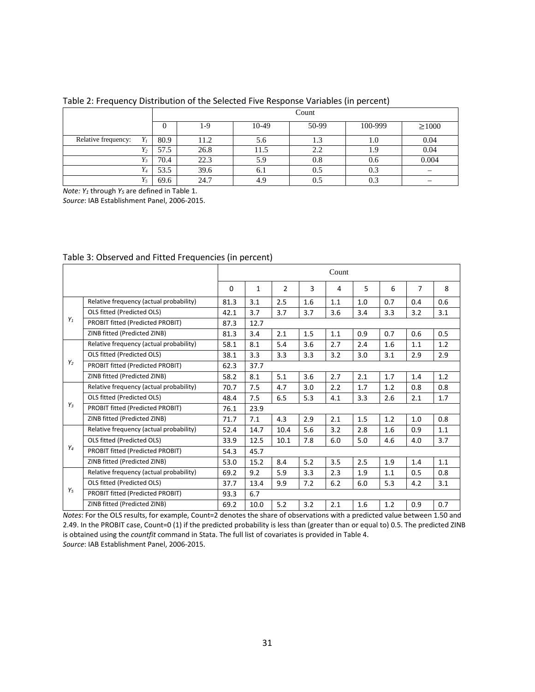|                     |      | Count |       |       |         |                          |  |
|---------------------|------|-------|-------|-------|---------|--------------------------|--|
|                     | O    | 1-9   | 10-49 | 50-99 | 100-999 | $\geq 1000$              |  |
| Relative frequency: | 80.9 | 11.2  | 5.6   | 1.3   | 1.0     | 0.04                     |  |
| $Y_2$               | 57.5 | 26.8  | 11.5  | 2.2   | 1.5     | 0.04                     |  |
| $\frac{1}{3}$       | 70.4 | 22.3  | 5.9   | 0.8   | 0.6     | 0.004                    |  |
|                     | 53.5 | 39.6  | 0.1   | 0.5   | 0.3     | $\overline{\phantom{m}}$ |  |
| $Y_5$               | 69.6 | 24.7  | 4.9   | 0.5   | 0.3     | –                        |  |

#### Table 2: Frequency Distribution of the Selected Five Response Variables (in percent)

*Note: Y<sub>1</sub>* through *Y<sub>5</sub>* are defined in Table 1.

*Source*: IAB Establishment Panel, 2006-2015.

|                |                                         |          | Count |      |     |     |     |     |     |     |
|----------------|-----------------------------------------|----------|-------|------|-----|-----|-----|-----|-----|-----|
|                |                                         | $\Omega$ | 1     | 2    | 3   | 4   | 5   | 6   | 7   | 8   |
|                | Relative frequency (actual probability) | 81.3     | 3.1   | 2.5  | 1.6 | 1.1 | 1.0 | 0.7 | 0.4 | 0.6 |
|                | OLS fitted (Predicted OLS)              | 42.1     | 3.7   | 3.7  | 3.7 | 3.6 | 3.4 | 3.3 | 3.2 | 3.1 |
| $Y_1$          | PROBIT fitted (Predicted PROBIT)        | 87.3     | 12.7  |      |     |     |     |     |     |     |
|                | ZINB fitted (Predicted ZINB)            | 81.3     | 3.4   | 2.1  | 1.5 | 1.1 | 0.9 | 0.7 | 0.6 | 0.5 |
|                | Relative frequency (actual probability) | 58.1     | 8.1   | 5.4  | 3.6 | 2.7 | 2.4 | 1.6 | 1.1 | 1.2 |
|                | OLS fitted (Predicted OLS)              | 38.1     | 3.3   | 3.3  | 3.3 | 3.2 | 3.0 | 3.1 | 2.9 | 2.9 |
| Y <sub>2</sub> | PROBIT fitted (Predicted PROBIT)        | 62.3     | 37.7  |      |     |     |     |     |     |     |
|                | ZINB fitted (Predicted ZINB)            | 58.2     | 8.1   | 5.1  | 3.6 | 2.7 | 2.1 | 1.7 | 1.4 | 1.2 |
|                | Relative frequency (actual probability) | 70.7     | 7.5   | 4.7  | 3.0 | 2.2 | 1.7 | 1.2 | 0.8 | 0.8 |
|                | OLS fitted (Predicted OLS)              | 48.4     | 7.5   | 6.5  | 5.3 | 4.1 | 3.3 | 2.6 | 2.1 | 1.7 |
| $Y_3$          | PROBIT fitted (Predicted PROBIT)        | 76.1     | 23.9  |      |     |     |     |     |     |     |
|                | ZINB fitted (Predicted ZINB)            | 71.7     | 7.1   | 4.3  | 2.9 | 2.1 | 1.5 | 1.2 | 1.0 | 0.8 |
|                | Relative frequency (actual probability) | 52.4     | 14.7  | 10.4 | 5.6 | 3.2 | 2.8 | 1.6 | 0.9 | 1.1 |
|                | OLS fitted (Predicted OLS)              | 33.9     | 12.5  | 10.1 | 7.8 | 6.0 | 5.0 | 4.6 | 4.0 | 3.7 |
| Y <sub>4</sub> | PROBIT fitted (Predicted PROBIT)        | 54.3     | 45.7  |      |     |     |     |     |     |     |
|                | ZINB fitted (Predicted ZINB)            | 53.0     | 15.2  | 8.4  | 5.2 | 3.5 | 2.5 | 1.9 | 1.4 | 1.1 |
|                | Relative frequency (actual probability) | 69.2     | 9.2   | 5.9  | 3.3 | 2.3 | 1.9 | 1.1 | 0.5 | 0.8 |
|                | OLS fitted (Predicted OLS)              | 37.7     | 13.4  | 9.9  | 7.2 | 6.2 | 6.0 | 5.3 | 4.2 | 3.1 |
| $Y_5$          | PROBIT fitted (Predicted PROBIT)        | 93.3     | 6.7   |      |     |     |     |     |     |     |
|                | ZINB fitted (Predicted ZINB)            | 69.2     | 10.0  | 5.2  | 3.2 | 2.1 | 1.6 | 1.2 | 0.9 | 0.7 |

#### Table 3: Observed and Fitted Frequencies (in percent)

*Notes*: For the OLS results, for example, Count=2 denotes the share of observations with a predicted value between 1.50 and 2.49. In the PROBIT case, Count=0 (1) if the predicted probability is less than (greater than or equal to) 0.5. The predicted ZINB is obtained using the *countfit* command in Stata. The full list of covariates is provided in Table 4. *Source*: IAB Establishment Panel, 2006-2015.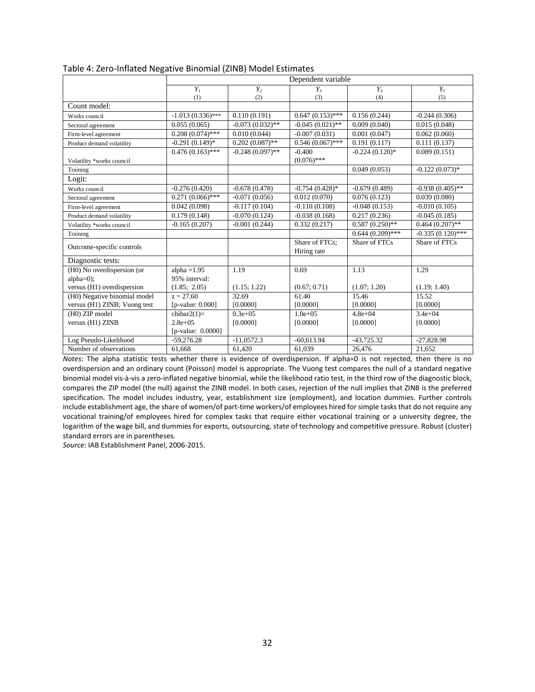|                              |                         |                    | Dependent variable            |                    |                     |
|------------------------------|-------------------------|--------------------|-------------------------------|--------------------|---------------------|
|                              | Y <sub>1</sub>          | $Y_2$              | $Y_{3}$                       | $Y_4$              | $Y_5$               |
|                              | (1)                     | (2)                | (3)                           | (4)                | (5)                 |
| Count model:                 |                         |                    |                               |                    |                     |
| Works council                | $-1.013(0.336)$ ***     | 0.110(0.191)       | $0.647(0.153)$ ***            | 0.156(0.244)       | $-0.244(0.306)$     |
| Sectoral agreement           | 0.055(0.065)            | $-0.073(0.032)$ ** | $-0.045(0.021)$ **            | 0.009(0.040)       | 0.015(0.048)        |
| Firm-level agreement         | $0.208(0.074)$ ***      | 0.010(0.044)       | $-0.007(0.031)$               | 0.001(0.047)       | 0.062(0.060)        |
| Product demand volatility    | $-0.291(0.149)$ *       | $0.202(0.087)$ **  | $0.546(0.067)$ ***            | 0.191(0.117)       | 0.111(0.137)        |
|                              | $0.476(0.163)$ ***      | $-0.248(0.097)$ ** | $-0.400$                      | $-0.224(0.120)*$   | 0.089(0.151)        |
| Volatility *works council    |                         |                    | $(0.076)$ ***                 |                    |                     |
| Training                     |                         |                    |                               | 0.049(0.053)       | $-0.122(0.073)*$    |
| Logit:                       |                         |                    |                               |                    |                     |
| Works council                | $-0.276(0.420)$         | $-0.678(0.478)$    | $-0.754(0.428)$ *             | $-0.679(0.489)$    | $-0.938(0.405)$ **  |
| Sectoral agreement           | $0.271(0.066)$ ***      | $-0.071(0.056)$    | 0.012(0.070)                  | 0.076(0.123)       | 0.039(0.080)        |
| Firm-level agreement         | 0.042(0.098)            | $-0.117(0.104)$    | $-0.110(0.108)$               | $-0.048(0.153)$    | $-0.010(0.105)$     |
| Product demand volatility    | 0.179(0.148)            | $-0.070(0.124)$    | $-0.038(0.168)$               | 0.217(0.236)       | $-0.045(0.185)$     |
| Volatility *works council    | $-0.165(0.207)$         | $-0.001(0.244)$    | 0.332(0.217)                  | $0.587(0.250)$ **  | $0.464(0.207)$ **   |
| Training                     |                         |                    |                               | $0.644(0.209)$ *** | $-0.335(0.120)$ *** |
| Outcome-specific controls    |                         |                    | Share of FTCs:<br>Hiring rate | Share of FTCs      | Share of FTCs       |
| Diagnostic tests:            |                         |                    |                               |                    |                     |
| (H0) No overdispersion (or   | alpha $=1.95$           | 1.19               | 0.69                          | 1.13               | 1.29                |
| $alpha=0$ ;                  | 95% interval:           |                    |                               |                    |                     |
| versus (H1) overdispersion   | (1.85; 2.05)            | (1.15; 1.22)       | (0.67; 0.71)                  | (1.07; 1.20)       | (1.19; 1.40)        |
| (H0) Negative binomial model | $z = 27.60$             | 32.69              | 61.40                         | 15.46              | 15.52               |
| versus (H1) ZINB; Vuong test | [ $p$ -value: $0.000$ ] | [0.0000]           | [0.0000]                      | [0.0000]           | [0.0000]            |
| (H0) ZIP model               | chibar $2(1)=$          | $0.3e+0.5$         | $1.0e + 0.5$                  | $4.8e + 04$        | $3.4e + 04$         |
| versus (H1) ZINB             | $2.8e + 0.5$            | [0.0000]           | [0.0000]                      | [0.0000]           | [0.0000]            |
|                              | $[p-value: 0.0000]$     |                    |                               |                    |                     |
| Log Pseudo-Likelihood        | $-59,276.28$            | $-11.0572.3$       | $-60.613.94$                  | $-43.725.32$       | $-27,828.98$        |
| Number of observations       | 61.668                  | 61,420             | 61,039                        | 26,476             | 21,652              |

|  | Table 4: Zero-Inflated Negative Binomial (ZINB) Model Estimates |
|--|-----------------------------------------------------------------|
|  |                                                                 |

*Notes*: The alpha statistic tests whether there is evidence of overdispersion. If alpha=0 is not rejected, then there is no overdispersion and an ordinary count (Poisson) model is appropriate. The Vuong test compares the null of a standard negative binomial model vis-à-vis a zero-inflated negative binomial, while the likelihood ratio test, in the third row of the diagnostic block, compares the ZIP model (the null) against the ZINB model. In both cases, rejection of the null implies that ZINB is the preferred specification. The model includes industry, year, establishment size (employment), and location dummies. Further controls include establishment age, the share of women/of part-time workers/of employees hired for simple tasks that do not require any vocational training/of employees hired for complex tasks that require either vocational training or a university degree, the logarithm of the wage bill, and dummies for exports, outsourcing, state of technology and competitive pressure. Robust (cluster) standard errors are in parentheses.

*Source*: IAB Establishment Panel, 2006-2015.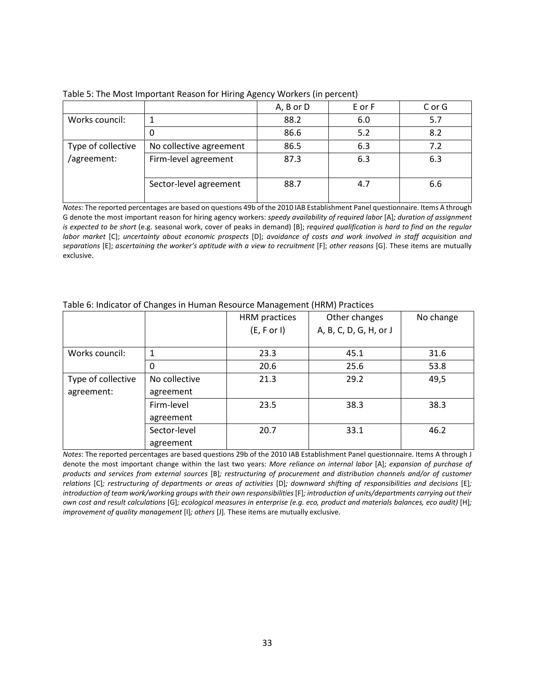|                    |                         | A, B or D | E or F | C or G |
|--------------------|-------------------------|-----------|--------|--------|
| Works council:     |                         | 88.2      | 6.0    | 5.7    |
|                    |                         | 86.6      | 5.2    | 8.2    |
| Type of collective | No collective agreement | 86.5      | 6.3    | 7.2    |
| /agreement:        | Firm-level agreement    | 87.3      | 6.3    | 6.3    |
|                    | Sector-level agreement  | 88.7      | 4.7    | 6.6    |

Table 5: The Most Important Reason for Hiring Agency Workers (in percent)

*Notes:* The reported percentages are based on questions 49b of the 2010 IAB Establishment Panel questionnaire. Items A through G denote the most important reason for hiring agency workers: *speedy availability of required labor* [A]*; duration of assignment is expected to be short* (e.g. seasonal work, cover of peaks in demand) [B]; *required qualification is hard to find on the regular labor market* [C]; *uncertainty about economic prospects* [D]; *avoidance of costs and work involved in staff acquisition and separations* [E]; *ascertaining the worker's aptitude with a view to recruitment* [F]; *other reasons* [G]. These items are mutually exclusive.

|                    |               | HRM practices | Other changes          | No change |
|--------------------|---------------|---------------|------------------------|-----------|
|                    |               | (E, F or I)   | A, B, C, D, G, H, or J |           |
|                    |               |               |                        |           |
| Works council:     | 1             | 23.3          | 45.1                   | 31.6      |
|                    | 0             | 20.6          | 25.6                   | 53.8      |
| Type of collective | No collective | 21.3          | 29.2                   | 49,5      |
| agreement:         | agreement     |               |                        |           |
|                    | Firm-level    | 23.5          | 38.3                   | 38.3      |
|                    | agreement     |               |                        |           |
|                    | Sector-level  | 20.7          | 33.1                   | 46.2      |
|                    | agreement     |               |                        |           |

#### Table 6: Indicator of Changes in Human Resource Management (HRM) Practices

*Notes*: The reported percentages are based questions 29b of the 2010 IAB Establishment Panel questionnaire. Items A through J denote the most important change within the last two years: *More reliance on internal labor* [A]; *expansion of purchase of products and services from external sources* [B]*; restructuring of procurement and distribution channels and/or of customer relations* [C]*; restructuring of departments or areas of activities* [D]*; downward shifting of responsibilities and decisions* [E]*;*  introduction of team work/working groups with their own responsibilities [F]; introduction of units/departments carrying out their *own cost and result calculations* [G]*; ecological measures in enterprise (e.g. eco, product and materials balances, eco audit)* [H]*; improvement of quality management* [I]*; others* [J]*.* These items are mutually exclusive.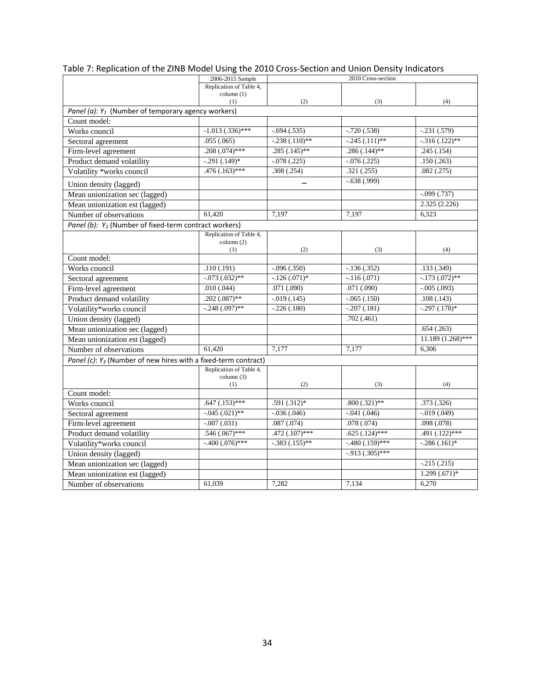|                                                                   | 2006-2015 Sample                      |                  | 2010 Cross-section  |                     |
|-------------------------------------------------------------------|---------------------------------------|------------------|---------------------|---------------------|
|                                                                   | Replication of Table 4,               |                  |                     |                     |
|                                                                   | column(1)<br>(1)                      | (2)              | (3)                 | (4)                 |
| Panel (a): $Y_1$ (Number of temporary agency workers)             |                                       |                  |                     |                     |
| Count model:                                                      |                                       |                  |                     |                     |
| Works council                                                     | $-1.013$ $(.336)$ ***                 | $-.694(.535)$    | $-.720(.538)$       | $-.231(.579)$       |
| Sectoral agreement                                                | .055(.065)                            | $-.238(.110)$ ** | $-.245(.111)$ **    | $-316(.122)$ **     |
| Firm-level agreement                                              | $.208(.074)$ ***                      | $.285(.145)$ **  | $.286(.144)$ **     | .245(.154)          |
| Product demand volatility                                         | $-.291(.149)*$                        | $-.078(.225)$    | $-0.076(0.225)$     | .150(.263)          |
| Volatility *works council                                         | $.476(.163)$ ***                      | .308(.254)       | .321(.255)          | .082(.275)          |
| Union density (lagged)                                            |                                       |                  | $-.638(.999)$       |                     |
| Mean unionization sec (lagged)                                    |                                       |                  |                     | $-.099(.737)$       |
| Mean unionization est (lagged)                                    |                                       |                  |                     | 2.325(2.226)        |
| Number of observations                                            | 61.420                                | 7.197            | 7.197               | 6.323               |
| Panel (b): Y <sub>2</sub> (Number of fixed-term contract workers) |                                       |                  |                     |                     |
|                                                                   | Replication of Table 4,               |                  |                     |                     |
|                                                                   | column (2)                            |                  |                     |                     |
| Count model:                                                      | (1)                                   | (2)              | (3)                 | (4)                 |
| Works council                                                     | .110(.191)                            | $-.096(.350)$    | $-.136(.352)$       | .133(.349)          |
| Sectoral agreement                                                | $-0.073$ $(0.032)$ **                 | $-126(.071)*$    | $-.116(.071)$       | $-.173(.072)$ **    |
| Firm-level agreement                                              | .010(.044)                            | .071(.090)       | .071(.090)          | $-0.005(0.093)$     |
| Product demand volatility                                         | $.202(.087)$ **                       | $-0.019(0.145)$  | $-.065(.150)$       | .108(.143)          |
| Volatility*works council                                          | $-.248(.097)$ **                      | $-.226(.180)$    | $-.207(.181)$       | $-.297(.178)*$      |
| Union density (lagged)                                            |                                       |                  | .702(.461)          |                     |
| Mean unionization sec (lagged)                                    |                                       |                  |                     | .654(.263)          |
|                                                                   |                                       |                  |                     | $11.189(1.268)$ *** |
| Mean unionization est (lagged)                                    |                                       |                  |                     |                     |
| Number of observations                                            | 61,420                                | 7,177            | 7,177               | 6,306               |
| Panel (c): $Y_3$ (Number of new hires with a fixed-term contract) |                                       |                  |                     |                     |
|                                                                   | Replication of Table 4,<br>column (3) |                  |                     |                     |
|                                                                   | (1)                                   | (2)              | (3)                 | (4)                 |
| Count model:                                                      |                                       |                  |                     |                     |
| Works council                                                     | $.647(.153)$ ***                      | $.591(.312)*$    | $.800(.321)$ **     | .373(.326)          |
| Sectoral agreement                                                | $-0.045$ $(0.021)$ **                 | $-.036(.046)$    | $-.041(.046)$       | $-0.019(0.049)$     |
| Firm-level agreement                                              | $-0.007(0.031)$                       | .087(.074)       | .078(.074)          | .098(.078)          |
| Product demand volatility                                         | $.546(.067)$ ***                      | $.472(.107)$ *** | $.625(.124)$ ***    | $.491(.122)$ ***    |
| Volatility*works council                                          | $-.400(.076)$ ***                     | $-.383(.155)$ ** | $-.480(.159)$ ***   | $-.286(.161)*$      |
| Union density (lagged)                                            |                                       |                  | $-0.913(0.305)$ *** |                     |
| Mean unionization sec (lagged)                                    |                                       |                  |                     | $-.215(.215)$       |
| Mean unionization est (lagged)                                    |                                       |                  |                     | $1.299(.671)*$      |
| Number of observations                                            | 61,039                                | 7,282            | 7,134               | 6,270               |

Table 7: Replication of the ZINB Model Using the 2010 Cross-Section and Union Density Indicators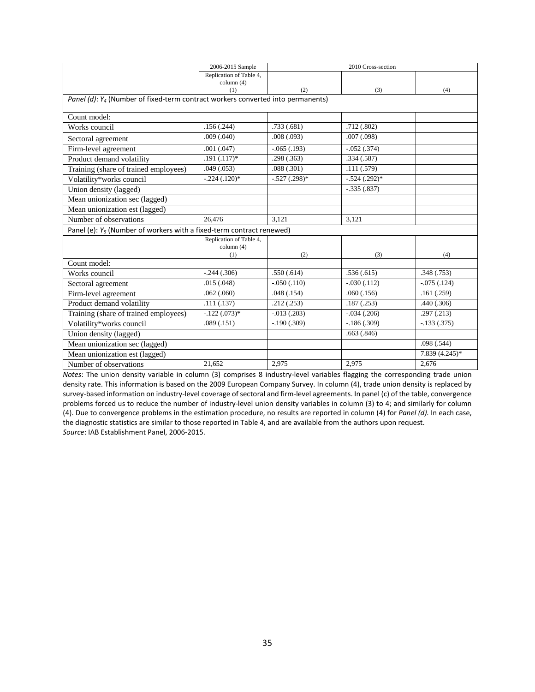|                                                                                             | 2006-2015 Sample        |                | 2010 Cross-section |                 |
|---------------------------------------------------------------------------------------------|-------------------------|----------------|--------------------|-----------------|
|                                                                                             | Replication of Table 4, |                |                    |                 |
|                                                                                             | column (4)<br>(1)       | (2)            | (3)                | (4)             |
| Panel (d): Y <sub>4</sub> (Number of fixed-term contract workers converted into permanents) |                         |                |                    |                 |
|                                                                                             |                         |                |                    |                 |
| Count model:                                                                                |                         |                |                    |                 |
| Works council                                                                               | .156(.244)              | .733(.681)     | .712(.802)         |                 |
| Sectoral agreement                                                                          | .009(.040)              | .008(.093)     | .007(.098)         |                 |
| Firm-level agreement                                                                        | .001(.047)              | $-.065(.193)$  | $-0.052$ $(.374)$  |                 |
| Product demand volatility                                                                   | $.191(.117)*$           | .298(.363)     | .334(.587)         |                 |
| Training (share of trained employees)                                                       | .049(.053)              | .088(.301)     | .111(.579)         |                 |
| Volatility*works council                                                                    | $-.224(.120)*$          | $-.527(.298)*$ | $-.524(.292)*$     |                 |
| Union density (lagged)                                                                      |                         |                | $-.335(.837)$      |                 |
| Mean unionization sec (lagged)                                                              |                         |                |                    |                 |
| Mean unionization est (lagged)                                                              |                         |                |                    |                 |
| Number of observations                                                                      | 26.476                  | 3.121          | 3,121              |                 |
| Panel (e): $Y_5$ (Number of workers with a fixed-term contract renewed)                     |                         |                |                    |                 |
|                                                                                             | Replication of Table 4, |                |                    |                 |
|                                                                                             | column (4)<br>(1)       | (2)            | (3)                | (4)             |
| Count model:                                                                                |                         |                |                    |                 |
| Works council                                                                               | $-.244(.306)$           | .550(.614)     | .536(.615)         | .348(.753)      |
| Sectoral agreement                                                                          | .015(.048)              | $-.050(.110)$  | $-.030(.112)$      | $-.075(.124)$   |
| Firm-level agreement                                                                        | .062(.060)              | .048(.154)     | .060(.156)         | .161(.259)      |
| Product demand volatility                                                                   | .111(.137)              | .212(.253)     | .187(.253)         | .440(.306)      |
| Training (share of trained employees)                                                       | $-.122(.073)*$          | $-.013(.203)$  | $-.034(.206)$      | .297(.213)      |
| Volatility*works council                                                                    | .089(.151)              | $-.190(.309)$  | $-.186(.309)$      | $-133(.375)$    |
| Union density (lagged)                                                                      |                         |                | .663(.846)         |                 |
| Mean unionization sec (lagged)                                                              |                         |                |                    | .098(.544)      |
| Mean unionization est (lagged)                                                              |                         |                |                    | $7.839(4.245)*$ |
| Number of observations                                                                      | 21,652                  | 2,975          | 2,975              | 2,676           |

*Notes*: The union density variable in column (3) comprises 8 industry-level variables flagging the corresponding trade union density rate. This information is based on the 2009 European Company Survey. In column (4), trade union density is replaced by survey-based information on industry-level coverage of sectoral and firm-level agreements. In panel (c) of the table, convergence problems forced us to reduce the number of industry-level union density variables in column (3) to 4; and similarly for column (4). Due to convergence problems in the estimation procedure, no results are reported in column (4) for *Panel (d).* In each case, the diagnostic statistics are similar to those reported in Table 4, and are available from the authors upon request. *Source*: IAB Establishment Panel, 2006-2015.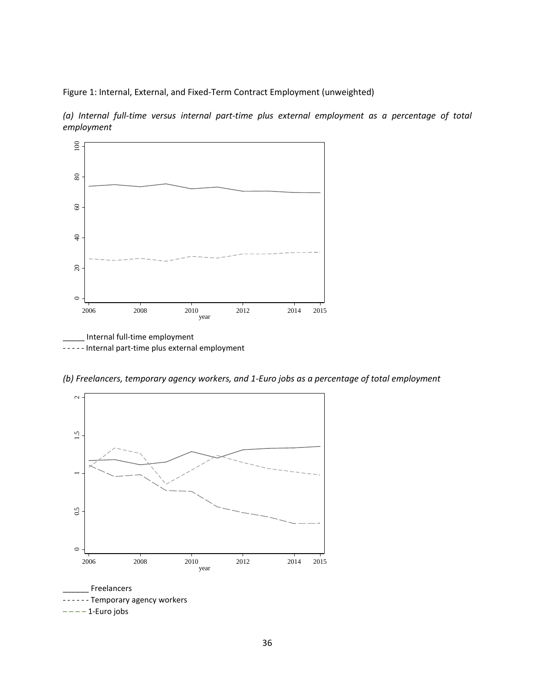Figure 1: Internal, External, and Fixed-Term Contract Employment (unweighted)

*(a) Internal full-time versus internal part-time plus external employment as a percentage of total employment*



- - - - - Internal part-time plus external employment

*(b) Freelancers, temporary agency workers, and 1-Euro jobs as a percentage of total employment*

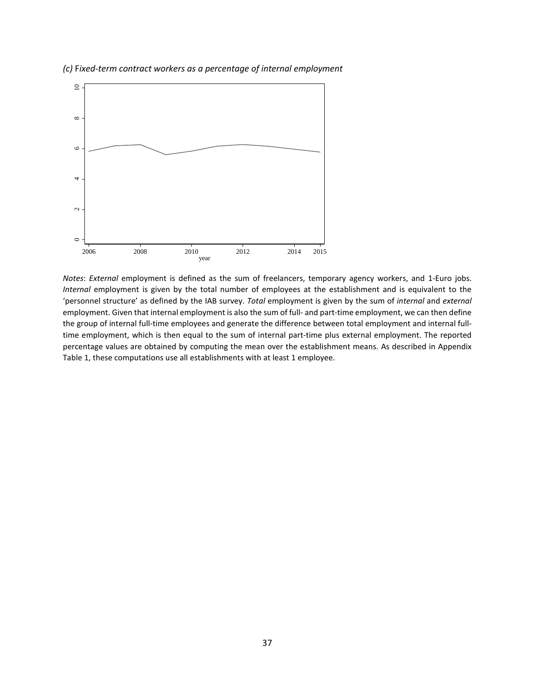

*(c)* F*ixed-term contract workers as a percentage of internal employment*

*Notes*: *External* employment is defined as the sum of freelancers, temporary agency workers, and 1-Euro jobs. *Internal* employment is given by the total number of employees at the establishment and is equivalent to the 'personnel structure' as defined by the IAB survey. *Total* employment is given by the sum of *internal* and *external* employment. Given that internal employment is also the sum of full- and part-time employment, we can then define the group of internal full-time employees and generate the difference between total employment and internal fulltime employment, which is then equal to the sum of internal part-time plus external employment. The reported percentage values are obtained by computing the mean over the establishment means. As described in Appendix Table 1, these computations use all establishments with at least 1 employee.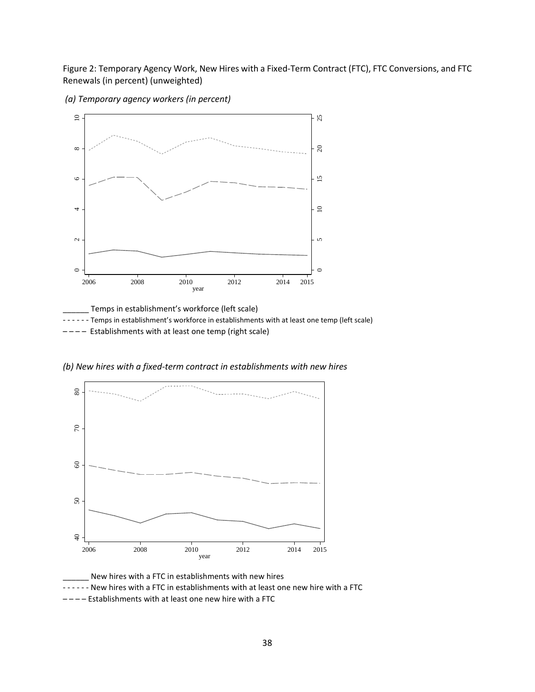Figure 2: Temporary Agency Work, New Hires with a Fixed-Term Contract (FTC), FTC Conversions, and FTC Renewals (in percent) (unweighted)

*(a) Temporary agency workers (in percent)*



Temps in establishment's workforce (left scale) - - - - - Temps in establishment's workforce in establishments with at least one temp (left scale) ---- Establishments with at least one temp (right scale)

*(b) New hires with a fixed-term contract in establishments with new hires*



New hires with a FTC in establishments with new hires - - - - - - New hires with a FTC in establishments with at least one new hire with a FTC – – – – Establishments with at least one new hire with a FTC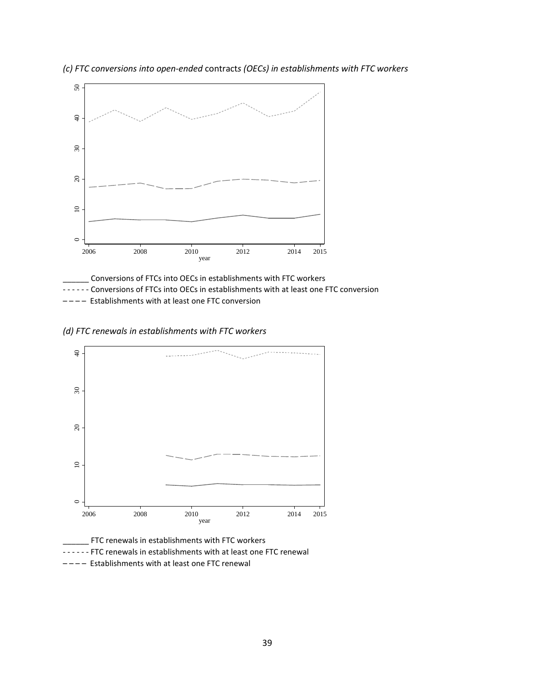

*(c) FTC conversions into open-ended* contract*s (OECs) in establishments with FTC workers*

\_\_\_\_\_\_ Conversions of FTCs into OECs in establishments with FTC workers - - - - - - Conversions of FTCs into OECs in establishments with at least one FTC conversion – – – – Establishments with at least one FTC conversion

*(d) FTC renewals in establishments with FTC workers*



\_\_\_\_\_\_ FTC renewals in establishments with FTC workers

- - - - FTC renewals in establishments with at least one FTC renewal
- – – Establishments with at least one FTC renewal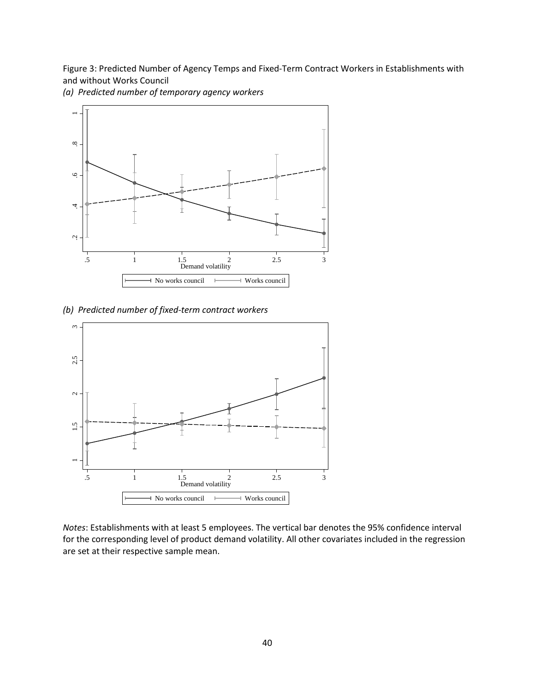Figure 3: Predicted Number of Agency Temps and Fixed-Term Contract Workers in Establishments with and without Works Council



*(a) Predicted number of temporary agency workers*

*(b) Predicted number of fixed-term contract workers*



*Notes*: Establishments with at least 5 employees. The vertical bar denotes the 95% confidence interval for the corresponding level of product demand volatility. All other covariates included in the regression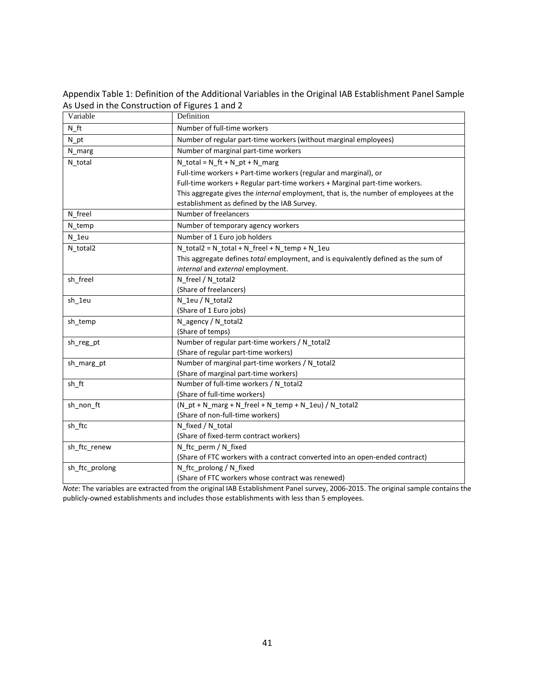Appendix Table 1: Definition of the Additional Variables in the Original IAB Establishment Panel Sample As Used in the Construction of Figures 1 and 2

| Variable       | Definition                                                                            |
|----------------|---------------------------------------------------------------------------------------|
| $N_{\_}ft$     | Number of full-time workers                                                           |
| $N_{p}$ t      | Number of regular part-time workers (without marginal employees)                      |
| N_marg         | Number of marginal part-time workers                                                  |
| N_total        | $N_{tot} = N_{tr} + N_{pt} + N_{m}$                                                   |
|                | Full-time workers + Part-time workers (regular and marginal), or                      |
|                | Full-time workers + Regular part-time workers + Marginal part-time workers.           |
|                | This aggregate gives the internal employment, that is, the number of employees at the |
|                | establishment as defined by the IAB Survey.                                           |
| N freel        | Number of freelancers                                                                 |
| N temp         | Number of temporary agency workers                                                    |
| N 1eu          | Number of 1 Euro job holders                                                          |
| N total2       | N_total2 = N_total + N_freel + N_temp + N_1eu                                         |
|                | This aggregate defines total employment, and is equivalently defined as the sum of    |
|                | internal and external employment.                                                     |
| sh freel       | N_freel / N_total2                                                                    |
|                | (Share of freelancers)                                                                |
| sh_1eu         | N_1eu / N_total2                                                                      |
|                | (Share of 1 Euro jobs)                                                                |
| sh temp        | N_agency / N_total2                                                                   |
|                | (Share of temps)                                                                      |
| sh_reg_pt      | Number of regular part-time workers / N_total2                                        |
|                | (Share of regular part-time workers)                                                  |
| sh_marg_pt     | Number of marginal part-time workers / N_total2                                       |
|                | (Share of marginal part-time workers)                                                 |
| sh_ft          | Number of full-time workers / N_total2                                                |
|                | (Share of full-time workers)                                                          |
| sh_non_ft      | (N_pt + N_marg + N_freel + N_temp + N_1eu) / N_total2                                 |
|                | (Share of non-full-time workers)                                                      |
| sh_ftc         | N_fixed / N_total                                                                     |
|                | (Share of fixed-term contract workers)                                                |
| sh ftc renew   | N_ftc_perm / N_fixed                                                                  |
|                | (Share of FTC workers with a contract converted into an open-ended contract)          |
| sh_ftc_prolong | N ftc prolong / N fixed                                                               |
|                | (Share of FTC workers whose contract was renewed)                                     |

*Note*: The variables are extracted from the original IAB Establishment Panel survey, 2006-2015. The original sample contains the publicly-owned establishments and includes those establishments with less than 5 employees.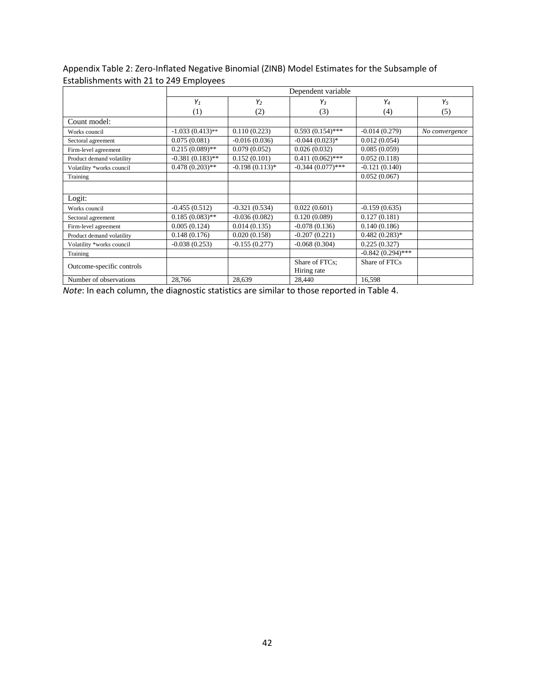# Appendix Table 2: Zero-Inflated Negative Binomial (ZINB) Model Estimates for the Subsample of Establishments with 21 to 249 Employees

|                           |                    | Dependent variable |                     |                     |                |  |  |  |  |  |  |
|---------------------------|--------------------|--------------------|---------------------|---------------------|----------------|--|--|--|--|--|--|
|                           | $Y_1$              | $Y_2$              | $Y_3$               | Y <sub>4</sub>      | $Y_5$          |  |  |  |  |  |  |
|                           | (1)                | (2)                | (3)                 | (4)                 | (5)            |  |  |  |  |  |  |
| Count model:              |                    |                    |                     |                     |                |  |  |  |  |  |  |
| Works council             | $-1.033(0.413)$ ** | 0.110(0.223)       | $0.593(0.154)$ ***  | $-0.014(0.279)$     | No convergence |  |  |  |  |  |  |
| Sectoral agreement        | 0.075(0.081)       | $-0.016(0.036)$    | $-0.044(0.023)*$    | 0.012(0.054)        |                |  |  |  |  |  |  |
| Firm-level agreement      | $0.215(0.089)$ **  | 0.079(0.052)       | 0.026(0.032)        | 0.085(0.059)        |                |  |  |  |  |  |  |
| Product demand volatility | $-0.381(0.183)$ ** | 0.152(0.101)       | $0.411(0.062)$ ***  | 0.052(0.118)        |                |  |  |  |  |  |  |
| Volatility *works council | $0.478(0.203)$ **  | $-0.198(0.113)*$   | $-0.344(0.077)$ *** | $-0.121(0.140)$     |                |  |  |  |  |  |  |
| Training                  |                    |                    |                     | 0.052(0.067)        |                |  |  |  |  |  |  |
|                           |                    |                    |                     |                     |                |  |  |  |  |  |  |
| Logit:                    |                    |                    |                     |                     |                |  |  |  |  |  |  |
| Works council             | $-0.455(0.512)$    | $-0.321(0.534)$    | 0.022(0.601)        | $-0.159(0.635)$     |                |  |  |  |  |  |  |
| Sectoral agreement        | $0.185(0.083)$ **  | $-0.036(0.082)$    | 0.120(0.089)        | 0.127(0.181)        |                |  |  |  |  |  |  |
| Firm-level agreement      | 0.005(0.124)       | 0.014(0.135)       | $-0.078(0.136)$     | 0.140(0.186)        |                |  |  |  |  |  |  |
| Product demand volatility | 0.148(0.176)       | 0.020(0.158)       | $-0.207(0.221)$     | $0.482(0.283)*$     |                |  |  |  |  |  |  |
| Volatility *works council | $-0.038(0.253)$    | $-0.155(0.277)$    | $-0.068(0.304)$     | 0.225(0.327)        |                |  |  |  |  |  |  |
| Training                  |                    |                    |                     | $-0.842(0.294)$ *** |                |  |  |  |  |  |  |
| Outcome-specific controls |                    |                    | Share of FTCs:      | Share of FTCs       |                |  |  |  |  |  |  |
|                           |                    |                    | Hiring rate         |                     |                |  |  |  |  |  |  |
| Number of observations    | 28,766             | 28,639             | 28,440              | 16,598              |                |  |  |  |  |  |  |

*Note*: In each column, the diagnostic statistics are similar to those reported in Table 4.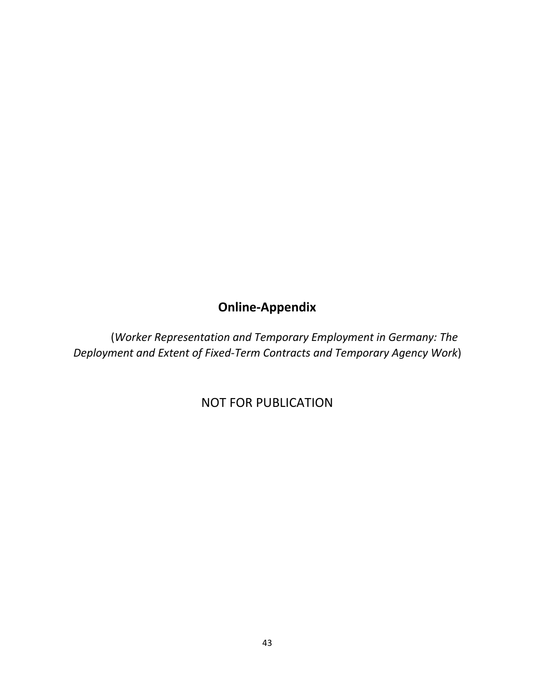# **Online-Appendix**

(*Worker Representation and Temporary Employment in Germany: The Deployment and Extent of Fixed-Term Contracts and Temporary Agency Work*)

NOT FOR PUBLICATION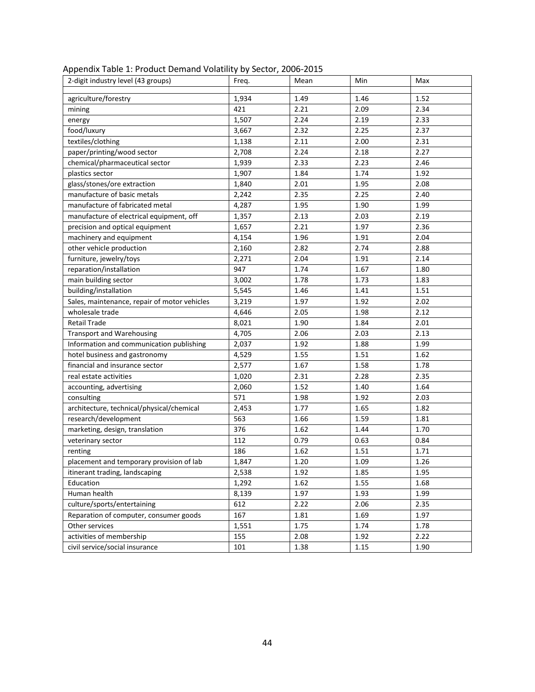| 2-digit industry level (43 groups)           | Freq. | Mean | Min  | Max  |
|----------------------------------------------|-------|------|------|------|
| agriculture/forestry                         | 1,934 | 1.49 | 1.46 | 1.52 |
| mining                                       | 421   | 2.21 | 2.09 | 2.34 |
| energy                                       | 1,507 | 2.24 | 2.19 | 2.33 |
| food/luxury                                  | 3,667 | 2.32 | 2.25 | 2.37 |
| textiles/clothing                            | 1,138 | 2.11 | 2.00 | 2.31 |
| paper/printing/wood sector                   | 2,708 | 2.24 | 2.18 | 2.27 |
| chemical/pharmaceutical sector               | 1,939 | 2.33 | 2.23 | 2.46 |
| plastics sector                              | 1,907 | 1.84 | 1.74 | 1.92 |
| glass/stones/ore extraction                  | 1,840 | 2.01 | 1.95 | 2.08 |
| manufacture of basic metals                  | 2,242 | 2.35 | 2.25 | 2.40 |
| manufacture of fabricated metal              | 4,287 | 1.95 | 1.90 | 1.99 |
| manufacture of electrical equipment, off     | 1,357 | 2.13 | 2.03 | 2.19 |
| precision and optical equipment              | 1,657 | 2.21 | 1.97 | 2.36 |
| machinery and equipment                      | 4,154 | 1.96 | 1.91 | 2.04 |
| other vehicle production                     | 2,160 | 2.82 | 2.74 | 2.88 |
| furniture, jewelry/toys                      | 2,271 | 2.04 | 1.91 | 2.14 |
| reparation/installation                      | 947   | 1.74 | 1.67 | 1.80 |
| main building sector                         | 3,002 | 1.78 | 1.73 | 1.83 |
| building/installation                        | 5,545 | 1.46 | 1.41 | 1.51 |
| Sales, maintenance, repair of motor vehicles | 3,219 | 1.97 | 1.92 | 2.02 |
| wholesale trade                              | 4,646 | 2.05 | 1.98 | 2.12 |
| <b>Retail Trade</b>                          | 8,021 | 1.90 | 1.84 | 2.01 |
| <b>Transport and Warehousing</b>             | 4,705 | 2.06 | 2.03 | 2.13 |
| Information and communication publishing     | 2,037 | 1.92 | 1.88 | 1.99 |
| hotel business and gastronomy                | 4,529 | 1.55 | 1.51 | 1.62 |
| financial and insurance sector               | 2,577 | 1.67 | 1.58 | 1.78 |
| real estate activities                       | 1,020 | 2.31 | 2.28 | 2.35 |
| accounting, advertising                      | 2,060 | 1.52 | 1.40 | 1.64 |
| consulting                                   | 571   | 1.98 | 1.92 | 2.03 |
| architecture, technical/physical/chemical    | 2,453 | 1.77 | 1.65 | 1.82 |
| research/development                         | 563   | 1.66 | 1.59 | 1.81 |
| marketing, design, translation               | 376   | 1.62 | 1.44 | 1.70 |
| veterinary sector                            | 112   | 0.79 | 0.63 | 0.84 |
| renting                                      | 186   | 1.62 | 1.51 | 1.71 |
| placement and temporary provision of lab     | 1,847 | 1.20 | 1.09 | 1.26 |
| itinerant trading, landscaping               | 2,538 | 1.92 | 1.85 | 1.95 |
| Education                                    | 1,292 | 1.62 | 1.55 | 1.68 |
| Human health                                 | 8,139 | 1.97 | 1.93 | 1.99 |
| culture/sports/entertaining                  | 612   | 2.22 | 2.06 | 2.35 |
| Reparation of computer, consumer goods       | 167   | 1.81 | 1.69 | 1.97 |
| Other services                               | 1,551 | 1.75 | 1.74 | 1.78 |
| activities of membership                     | 155   | 2.08 | 1.92 | 2.22 |
| civil service/social insurance               | 101   | 1.38 | 1.15 | 1.90 |

Appendix Table 1: Product Demand Volatility by Sector, 2006-2015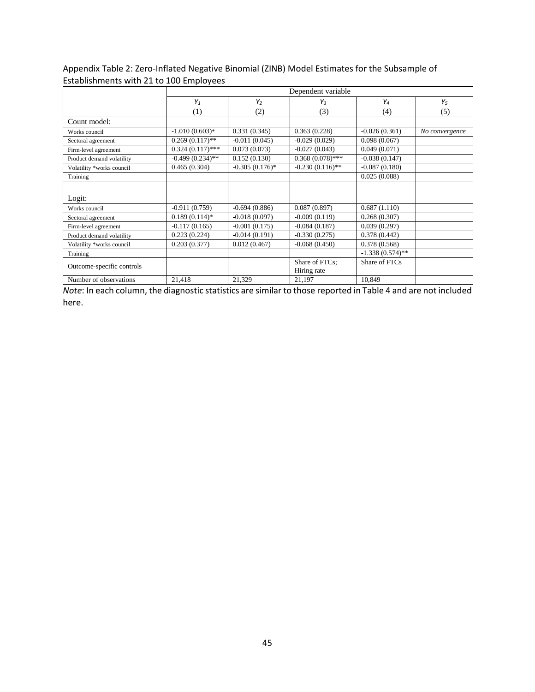Appendix Table 2: Zero-Inflated Negative Binomial (ZINB) Model Estimates for the Subsample of Establishments with 21 to 100 Employees

|                           |                    | Dependent variable |                    |                    |                |  |  |  |  |  |  |
|---------------------------|--------------------|--------------------|--------------------|--------------------|----------------|--|--|--|--|--|--|
|                           | $Y_1$              | $Y_2$              | $Y_3$              | Y4                 | $Y_5$          |  |  |  |  |  |  |
|                           | (1)                | (2)                | (3)                | (4)                | (5)            |  |  |  |  |  |  |
| Count model:              |                    |                    |                    |                    |                |  |  |  |  |  |  |
| Works council             | $-1.010(0.603)*$   | 0.331(0.345)       | 0.363(0.228)       | $-0.026(0.361)$    | No convergence |  |  |  |  |  |  |
| Sectoral agreement        | $0.269(0.117)$ **  | $-0.011(0.045)$    | $-0.029(0.029)$    | 0.098(0.067)       |                |  |  |  |  |  |  |
| Firm-level agreement      | $0.324(0.117)$ *** | 0.073(0.073)       | $-0.027(0.043)$    | 0.049(0.071)       |                |  |  |  |  |  |  |
| Product demand volatility | $-0.499(0.234)$ ** | 0.152(0.130)       | $0.368(0.078)$ *** | $-0.038(0.147)$    |                |  |  |  |  |  |  |
| Volatility *works council | 0.465(0.304)       | $-0.305(0.176)$ *  | $-0.230(0.116)$ ** | $-0.087(0.180)$    |                |  |  |  |  |  |  |
| Training                  |                    |                    |                    | 0.025(0.088)       |                |  |  |  |  |  |  |
|                           |                    |                    |                    |                    |                |  |  |  |  |  |  |
| Logit:                    |                    |                    |                    |                    |                |  |  |  |  |  |  |
| Works council             | $-0.911(0.759)$    | $-0.694(0.886)$    | 0.087(0.897)       | 0.687(1.110)       |                |  |  |  |  |  |  |
| Sectoral agreement        | $0.189(0.114)$ *   | $-0.018(0.097)$    | $-0.009(0.119)$    | 0.268(0.307)       |                |  |  |  |  |  |  |
| Firm-level agreement      | $-0.117(0.165)$    | $-0.001(0.175)$    | $-0.084(0.187)$    | 0.039(0.297)       |                |  |  |  |  |  |  |
| Product demand volatility | 0.223(0.224)       | $-0.014(0.191)$    | $-0.330(0.275)$    | 0.378(0.442)       |                |  |  |  |  |  |  |
| Volatility *works council | 0.203(0.377)       | 0.012(0.467)       | $-0.068(0.450)$    | 0.378(0.568)       |                |  |  |  |  |  |  |
| Training                  |                    |                    |                    | $-1.338(0.574)$ ** |                |  |  |  |  |  |  |
| Outcome-specific controls |                    |                    | Share of FTCs:     | Share of FTCs      |                |  |  |  |  |  |  |
|                           |                    |                    | Hiring rate        |                    |                |  |  |  |  |  |  |
| Number of observations    | 21,418             | 21,329             | 21,197             | 10,849             |                |  |  |  |  |  |  |

*Note*: In each column, the diagnostic statistics are similar to those reported in Table 4 and are not included here.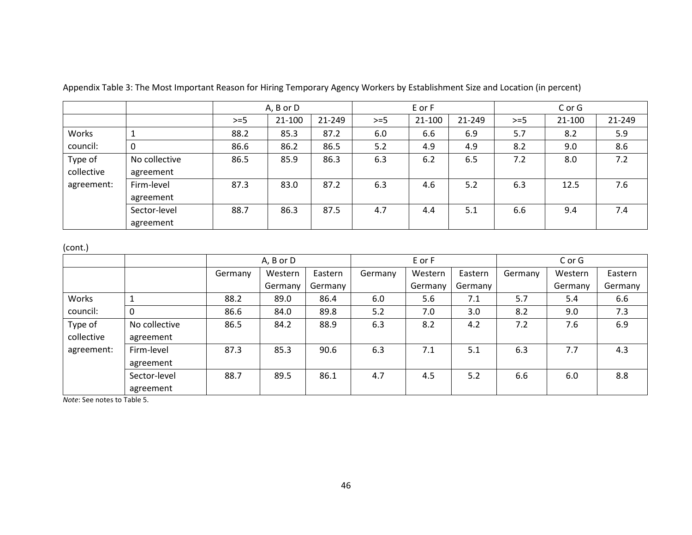|                       |                            | A, B or D |        |        | E or F |        |        | C or G |        |        |
|-----------------------|----------------------------|-----------|--------|--------|--------|--------|--------|--------|--------|--------|
|                       |                            | $>=$ 5    | 21-100 | 21-249 | $>=$ 5 | 21-100 | 21-249 | $>=$ 5 | 21-100 | 21-249 |
| Works                 |                            | 88.2      | 85.3   | 87.2   | 6.0    | 6.6    | 6.9    | 5.7    | 8.2    | 5.9    |
| council:              | 0                          | 86.6      | 86.2   | 86.5   | 5.2    | 4.9    | 4.9    | 8.2    | 9.0    | 8.6    |
| Type of<br>collective | No collective<br>agreement | 86.5      | 85.9   | 86.3   | 6.3    | 6.2    | 6.5    | 7.2    | 8.0    | 7.2    |
| agreement:            | Firm-level<br>agreement    | 87.3      | 83.0   | 87.2   | 6.3    | 4.6    | 5.2    | 6.3    | 12.5   | 7.6    |
|                       | Sector-level<br>agreement  | 88.7      | 86.3   | 87.5   | 4.7    | 4.4    | 5.1    | 6.6    | 9.4    | 7.4    |

Appendix Table 3: The Most Important Reason for Hiring Temporary Agency Workers by Establishment Size and Location (in percent)

(cont.)

|            |               | A, B or D |         |         | E or F  |         |         | C or G  |         |         |
|------------|---------------|-----------|---------|---------|---------|---------|---------|---------|---------|---------|
|            |               | Germany   | Western | Eastern | Germany | Western | Eastern | Germany | Western | Eastern |
|            |               |           | Germany | Germany |         | Germany | Germany |         | Germany | Germany |
| Works      |               | 88.2      | 89.0    | 86.4    | 6.0     | 5.6     | 7.1     | 5.7     | 5.4     | 6.6     |
| council:   | $\Omega$      | 86.6      | 84.0    | 89.8    | 5.2     | 7.0     | 3.0     | 8.2     | 9.0     | 7.3     |
| Type of    | No collective | 86.5      | 84.2    | 88.9    | 6.3     | 8.2     | 4.2     | 7.2     | 7.6     | 6.9     |
| collective | agreement     |           |         |         |         |         |         |         |         |         |
| agreement: | Firm-level    | 87.3      | 85.3    | 90.6    | 6.3     | 7.1     | 5.1     | 6.3     | 7.7     | 4.3     |
|            | agreement     |           |         |         |         |         |         |         |         |         |
|            | Sector-level  | 88.7      | 89.5    | 86.1    | 4.7     | 4.5     | 5.2     | 6.6     | 6.0     | 8.8     |
|            | agreement     |           |         |         |         |         |         |         |         |         |

*Note*: See notes to Table 5.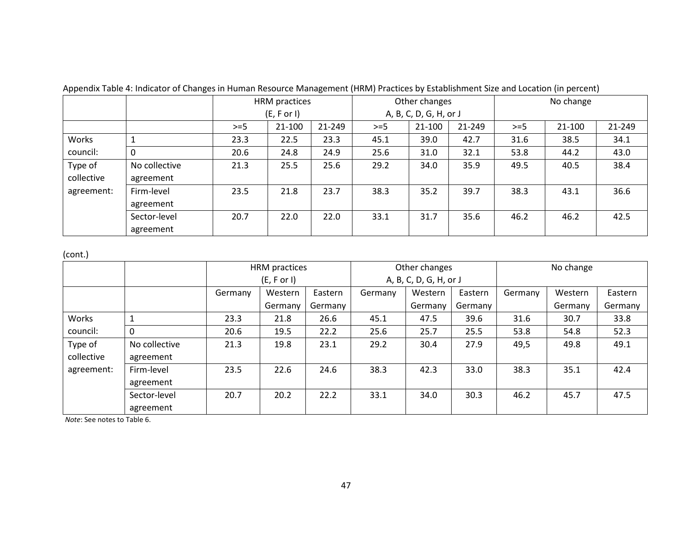|            |               | HRM practices |            |        | Other changes |                        |        | No change |        |        |  |
|------------|---------------|---------------|------------|--------|---------------|------------------------|--------|-----------|--------|--------|--|
|            |               |               | (E, For I) |        |               | A, B, C, D, G, H, or J |        |           |        |        |  |
|            |               | $>=$ 5        | 21-100     | 21-249 | $>=$ 5        | 21-100                 | 21-249 | $>=$ 5    | 21-100 | 21-249 |  |
| Works      |               | 23.3          | 22.5       | 23.3   | 45.1          | 39.0                   | 42.7   | 31.6      | 38.5   | 34.1   |  |
| council:   | 0             | 20.6          | 24.8       | 24.9   | 25.6          | 31.0                   | 32.1   | 53.8      | 44.2   | 43.0   |  |
| Type of    | No collective | 21.3          | 25.5       | 25.6   | 29.2          | 34.0                   | 35.9   | 49.5      | 40.5   | 38.4   |  |
| collective | agreement     |               |            |        |               |                        |        |           |        |        |  |
| agreement: | Firm-level    | 23.5          | 21.8       | 23.7   | 38.3          | 35.2                   | 39.7   | 38.3      | 43.1   | 36.6   |  |
|            | agreement     |               |            |        |               |                        |        |           |        |        |  |
|            | Sector-level  | 20.7          | 22.0       | 22.0   | 33.1          | 31.7                   | 35.6   | 46.2      | 46.2   | 42.5   |  |
|            | agreement     |               |            |        |               |                        |        |           |        |        |  |

Appendix Table 4: Indicator of Changes in Human Resource Management (HRM) Practices by Establishment Size and Location (in percent)

(cont.)

|            |               | HRM practices |             |         |         | Other changes          |         |         | No change |         |  |
|------------|---------------|---------------|-------------|---------|---------|------------------------|---------|---------|-----------|---------|--|
|            |               |               | (E, F or I) |         |         | A, B, C, D, G, H, or J |         |         |           |         |  |
|            |               | Germany       | Western     | Eastern | Germany | Western                | Eastern | Germany | Western   | Eastern |  |
|            |               |               | Germany     | Germany |         | Germany                | Germany |         | Germany   | Germany |  |
| Works      |               | 23.3          | 21.8        | 26.6    | 45.1    | 47.5                   | 39.6    | 31.6    | 30.7      | 33.8    |  |
| council:   | 0             | 20.6          | 19.5        | 22.2    | 25.6    | 25.7                   | 25.5    | 53.8    | 54.8      | 52.3    |  |
| Type of    | No collective | 21.3          | 19.8        | 23.1    | 29.2    | 30.4                   | 27.9    | 49,5    | 49.8      | 49.1    |  |
| collective | agreement     |               |             |         |         |                        |         |         |           |         |  |
| agreement: | Firm-level    | 23.5          | 22.6        | 24.6    | 38.3    | 42.3                   | 33.0    | 38.3    | 35.1      | 42.4    |  |
|            | agreement     |               |             |         |         |                        |         |         |           |         |  |
|            | Sector-level  | 20.7          | 20.2        | 22.2    | 33.1    | 34.0                   | 30.3    | 46.2    | 45.7      | 47.5    |  |
|            | agreement     |               |             |         |         |                        |         |         |           |         |  |

*Note*: See notes to Table 6.